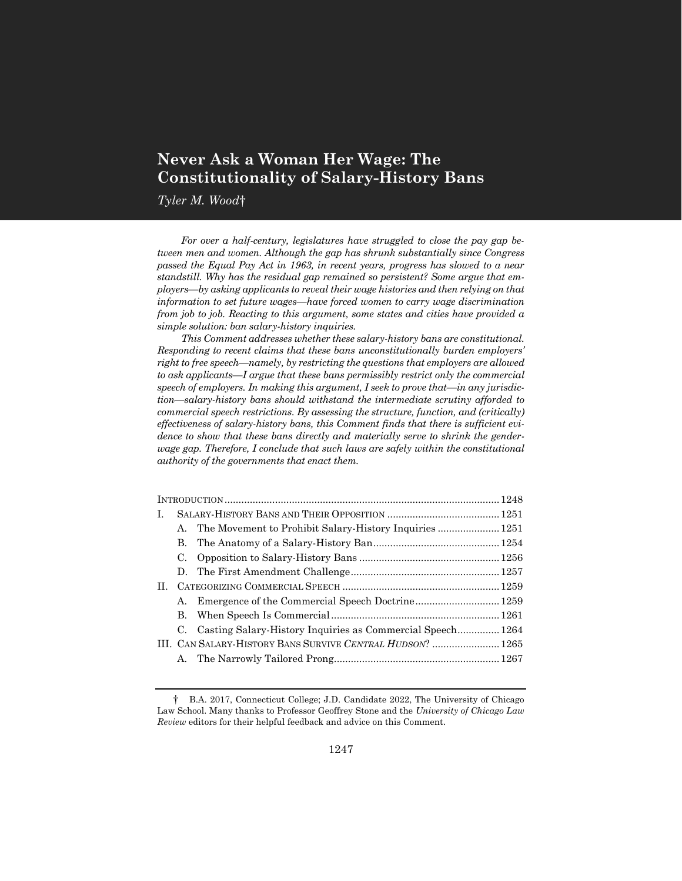# **Never Ask a Woman Her Wage: The Constitutionality of Salary-History Bans**

*Tyler M. Wood*†

*For over a half-century, legislatures have struggled to close the pay gap between men and women. Although the gap has shrunk substantially since Congress passed the Equal Pay Act in 1963, in recent years, progress has slowed to a near standstill. Why has the residual gap remained so persistent? Some argue that employers—by asking applicants to reveal their wage histories and then relying on that information to set future wages—have forced women to carry wage discrimination from job to job. Reacting to this argument, some states and cities have provided a simple solution: ban salary-history inquiries.*

*This Comment addresses whether these salary-history bans are constitutional. Responding to recent claims that these bans unconstitutionally burden employers' right to free speech—namely, by restricting the questions that employers are allowed to ask applicants—I argue that these bans permissibly restrict only the commercial speech of employers. In making this argument, I seek to prove that—in any jurisdiction—salary-history bans should withstand the intermediate scrutiny afforded to commercial speech restrictions. By assessing the structure, function, and (critically) effectiveness of salary-history bans, this Comment finds that there is sufficient evidence to show that these bans directly and materially serve to shrink the genderwage gap. Therefore, I conclude that such laws are safely within the constitutional authority of the governments that enact them.*

| L. |    |                                                            |  |  |
|----|----|------------------------------------------------------------|--|--|
|    | А. |                                                            |  |  |
|    | В. |                                                            |  |  |
|    | C. |                                                            |  |  |
|    |    |                                                            |  |  |
| H. |    |                                                            |  |  |
|    | А. |                                                            |  |  |
|    | В. |                                                            |  |  |
|    | C. | Casting Salary-History Inquiries as Commercial Speech 1264 |  |  |
|    |    | III. CAN SALARY-HISTORY BANS SURVIVE CENTRAL HUDSON?  1265 |  |  |
|    | А. |                                                            |  |  |
|    |    |                                                            |  |  |

<sup>†</sup> B.A. 2017, Connecticut College; J.D. Candidate 2022, The University of Chicago Law School. Many thanks to Professor Geoffrey Stone and the *University of Chicago Law Review* editors for their helpful feedback and advice on this Comment.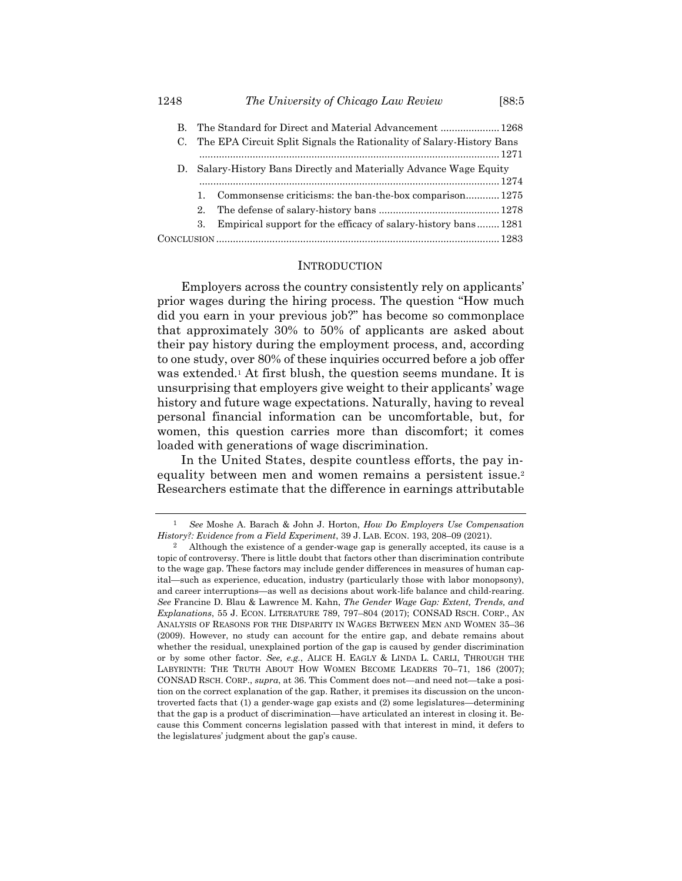|                                                                    | B. The Standard for Direct and Material Advancement  1268<br>C. The EPA Circuit Split Signals the Rationality of Salary-History Bans |  |
|--------------------------------------------------------------------|--------------------------------------------------------------------------------------------------------------------------------------|--|
| D. Salary-History Bans Directly and Materially Advance Wage Equity |                                                                                                                                      |  |
| 1.                                                                 | Commonsense criticisms: the ban-the-box comparison 1275                                                                              |  |
| $2_{-}$                                                            |                                                                                                                                      |  |
| 3.                                                                 | Empirical support for the efficacy of salary-history bans 1281                                                                       |  |
|                                                                    |                                                                                                                                      |  |

#### <span id="page-1-1"></span>**INTRODUCTION**

<span id="page-1-0"></span>Employers across the country consistently rely on applicants' prior wages during the hiring process. The question "How much did you earn in your previous job?" has become so commonplace that approximately 30% to 50% of applicants are asked about their pay history during the employment process, and, according to one study, over 80% of these inquiries occurred before a job offer was extended.<sup>1</sup> At first blush, the question seems mundane. It is unsurprising that employers give weight to their applicants' wage history and future wage expectations. Naturally, having to reveal personal financial information can be uncomfortable, but, for women, this question carries more than discomfort; it comes loaded with generations of wage discrimination.

In the United States, despite countless efforts, the pay inequality between men and women remains a persistent issue.<sup>2</sup> Researchers estimate that the difference in earnings attributable

<sup>1</sup> *See* Moshe A. Barach & John J. Horton, *How Do Employers Use Compensation History?: Evidence from a Field Experiment*, 39 J. LAB. ECON. 193, 208–09 (2021).

<sup>2</sup> Although the existence of a gender-wage gap is generally accepted, its cause is a topic of controversy. There is little doubt that factors other than discrimination contribute to the wage gap. These factors may include gender differences in measures of human capital—such as experience, education, industry (particularly those with labor monopsony), and career interruptions—as well as decisions about work-life balance and child-rearing. *See* Francine D. Blau & Lawrence M. Kahn, *The Gender Wage Gap: Extent, Trends, and Explanations*, 55 J. ECON. LITERATURE 789, 797–804 (2017); CONSAD RSCH. CORP., AN ANALYSIS OF REASONS FOR THE DISPARITY IN WAGES BETWEEN MEN AND WOMEN 35–36 (2009). However, no study can account for the entire gap, and debate remains about whether the residual, unexplained portion of the gap is caused by gender discrimination or by some other factor. *See, e.g.*, ALICE H. EAGLY & LINDA L. CARLI, THROUGH THE LABYRINTH: THE TRUTH ABOUT HOW WOMEN BECOME LEADERS 70–71, 186 (2007); CONSAD RSCH. CORP., *supra*, at 36. This Comment does not—and need not—take a position on the correct explanation of the gap. Rather, it premises its discussion on the uncontroverted facts that (1) a gender-wage gap exists and (2) some legislatures—determining that the gap is a product of discrimination—have articulated an interest in closing it. Because this Comment concerns legislation passed with that interest in mind, it defers to the legislatures' judgment about the gap's cause.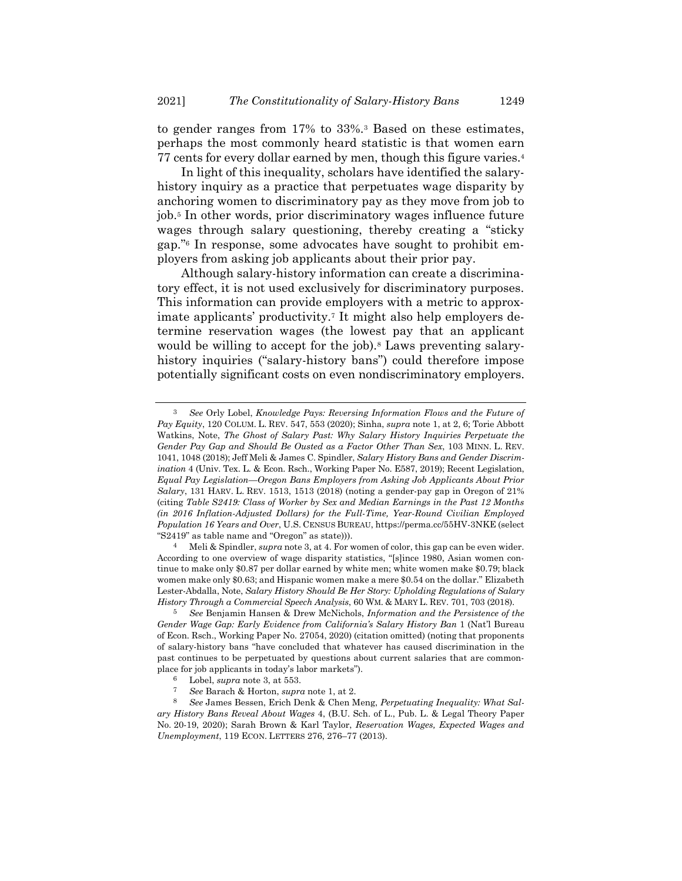<span id="page-2-0"></span>to gender ranges from 17% to 33%.<sup>3</sup> Based on these estimates, perhaps the most commonly heard statistic is that women earn 77 cents for every dollar earned by men, though this figure varies.<sup>4</sup>

<span id="page-2-2"></span><span id="page-2-1"></span>In light of this inequality, scholars have identified the salaryhistory inquiry as a practice that perpetuates wage disparity by anchoring women to discriminatory pay as they move from job to job.<sup>5</sup> In other words, prior discriminatory wages influence future wages through salary questioning, thereby creating a "sticky gap."<sup>6</sup> In response, some advocates have sought to prohibit employers from asking job applicants about their prior pay.

<span id="page-2-3"></span>Although salary-history information can create a discriminatory effect, it is not used exclusively for discriminatory purposes. This information can provide employers with a metric to approximate applicants' productivity.<sup>7</sup> It might also help employers determine reservation wages (the lowest pay that an applicant would be willing to accept for the job).<sup>8</sup> Laws preventing salaryhistory inquiries ("salary-history bans") could therefore impose potentially significant costs on even nondiscriminatory employers.

<sup>3</sup> *See* Orly Lobel, *Knowledge Pays: Reversing Information Flows and the Future of Pay Equity*, 120 COLUM. L. REV. 547, 553 (2020); Sinha, *supra* not[e 1,](#page-1-0) at 2, 6; Torie Abbott Watkins, Note, *The Ghost of Salary Past: Why Salary History Inquiries Perpetuate the Gender Pay Gap and Should Be Ousted as a Factor Other Than Sex*, 103 MINN. L. REV. 1041, 1048 (2018); Jeff Meli & James C. Spindler, *Salary History Bans and Gender Discrimination* 4 (Univ. Tex. L. & Econ. Rsch., Working Paper No. E587, 2019); Recent Legislation, *Equal Pay Legislation—Oregon Bans Employers from Asking Job Applicants About Prior Salary*, 131 HARV. L. REV. 1513, 1513 (2018) (noting a gender-pay gap in Oregon of 21% (citing *Table S2419: Class of Worker by Sex and Median Earnings in the Past 12 Months (in 2016 Inflation-Adjusted Dollars) for the Full-Time, Year-Round Civilian Employed Population 16 Years and Over*, U.S. CENSUS BUREAU, https://perma.cc/55HV-3NKE (select "S2419" as table name and "Oregon" as state))).

<sup>4</sup> Meli & Spindler, *supra* not[e 3,](#page-2-0) at 4. For women of color, this gap can be even wider. According to one overview of wage disparity statistics, "[s]ince 1980, Asian women continue to make only \$0.87 per dollar earned by white men; white women make \$0.79; black women make only \$0.63; and Hispanic women make a mere \$0.54 on the dollar." Elizabeth Lester-Abdalla, Note, *Salary History Should Be Her Story: Upholding Regulations of Salary History Through a Commercial Speech Analysis*, 60 WM. & MARY L. REV. 701, 703 (2018).

<sup>5</sup> *See* Benjamin Hansen & Drew McNichols, *Information and the Persistence of the Gender Wage Gap: Early Evidence from California's Salary History Ban* 1 (Nat'l Bureau of Econ. Rsch., Working Paper No. 27054, 2020) (citation omitted) (noting that proponents of salary-history bans "have concluded that whatever has caused discrimination in the past continues to be perpetuated by questions about current salaries that are commonplace for job applicants in today's labor markets").

<sup>6</sup> Lobel, *supra* not[e 3,](#page-2-0) at 553.

<sup>7</sup> *See* Barach & Horton, *supra* not[e 1,](#page-1-0) at 2.

<sup>8</sup> *See* James Bessen, Erich Denk & Chen Meng, *Perpetuating Inequality: What Salary History Bans Reveal About Wages* 4, (B.U. Sch. of L., Pub. L. & Legal Theory Paper No. 20-19, 2020); Sarah Brown & Karl Taylor, *Reservation Wages, Expected Wages and Unemployment*, 119 ECON. LETTERS 276, 276–77 (2013).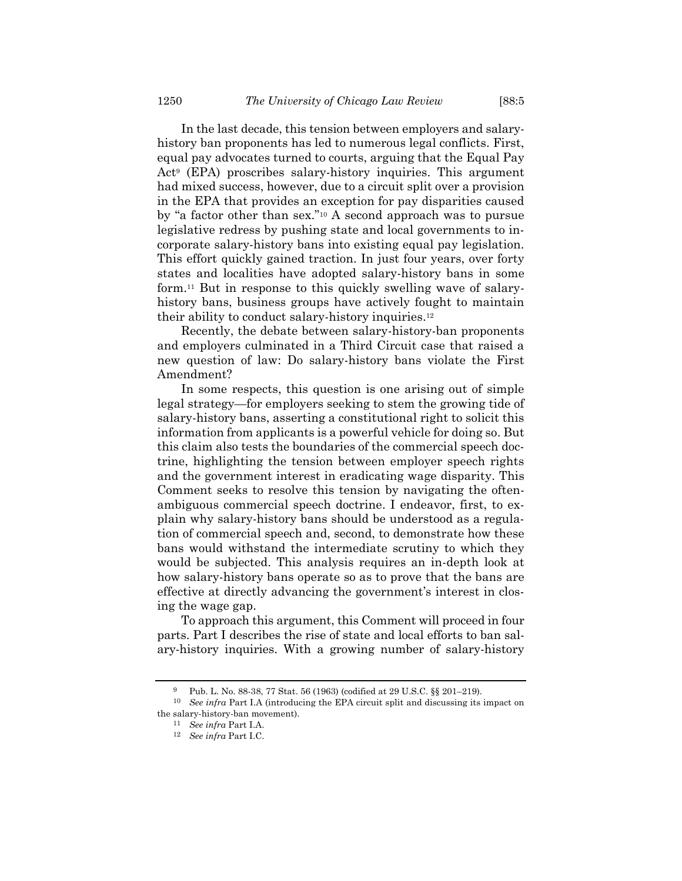In the last decade, this tension between employers and salaryhistory ban proponents has led to numerous legal conflicts. First, equal pay advocates turned to courts, arguing that the Equal Pay Act<sup>9</sup> (EPA) proscribes salary-history inquiries. This argument had mixed success, however, due to a circuit split over a provision in the EPA that provides an exception for pay disparities caused by "a factor other than sex."<sup>10</sup> A second approach was to pursue legislative redress by pushing state and local governments to incorporate salary-history bans into existing equal pay legislation. This effort quickly gained traction. In just four years, over forty states and localities have adopted salary-history bans in some form.<sup>11</sup> But in response to this quickly swelling wave of salaryhistory bans, business groups have actively fought to maintain their ability to conduct salary-history inquiries.<sup>12</sup>

Recently, the debate between salary-history-ban proponents and employers culminated in a Third Circuit case that raised a new question of law: Do salary-history bans violate the First Amendment?

In some respects, this question is one arising out of simple legal strategy—for employers seeking to stem the growing tide of salary-history bans, asserting a constitutional right to solicit this information from applicants is a powerful vehicle for doing so. But this claim also tests the boundaries of the commercial speech doctrine, highlighting the tension between employer speech rights and the government interest in eradicating wage disparity. This Comment seeks to resolve this tension by navigating the oftenambiguous commercial speech doctrine. I endeavor, first, to explain why salary-history bans should be understood as a regulation of commercial speech and, second, to demonstrate how these bans would withstand the intermediate scrutiny to which they would be subjected. This analysis requires an in-depth look at how salary-history bans operate so as to prove that the bans are effective at directly advancing the government's interest in closing the wage gap.

To approach this argument, this Comment will proceed in four parts. Part I describes the rise of state and local efforts to ban salary-history inquiries. With a growing number of salary-history

<sup>9</sup> Pub. L. No. 88-38, 77 Stat. 56 (1963) (codified at 29 U.S.C. §§ 201–219).

<sup>10</sup> *See infra* Part I.A (introducing the EPA circuit split and discussing its impact on the salary-history-ban movement).

<sup>11</sup> *See infra* Part I.A.

<sup>12</sup> *See infra* Part I.C.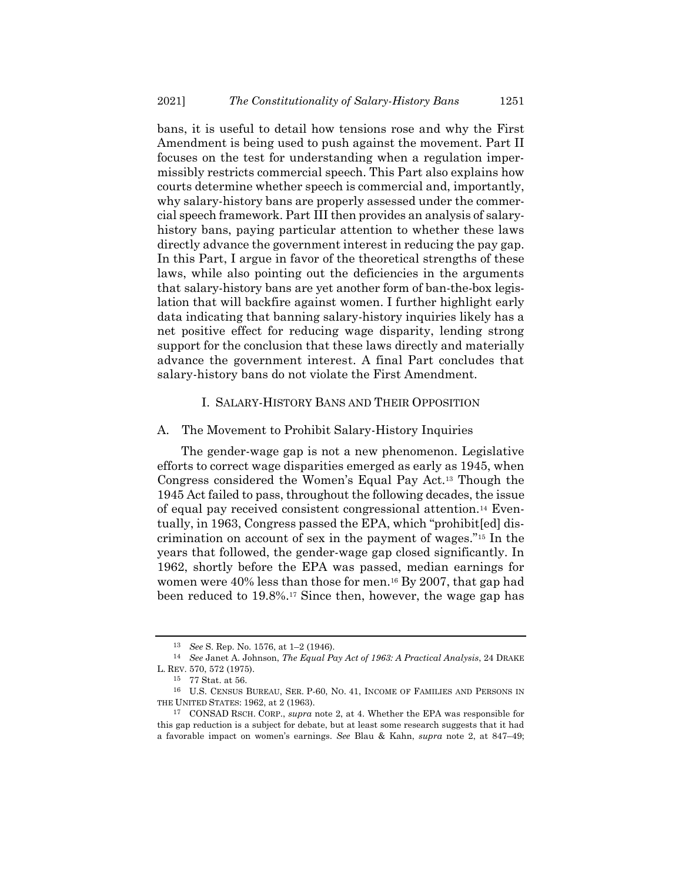bans, it is useful to detail how tensions rose and why the First Amendment is being used to push against the movement. Part II focuses on the test for understanding when a regulation impermissibly restricts commercial speech. This Part also explains how courts determine whether speech is commercial and, importantly, why salary-history bans are properly assessed under the commercial speech framework. Part III then provides an analysis of salaryhistory bans, paying particular attention to whether these laws directly advance the government interest in reducing the pay gap. In this Part, I argue in favor of the theoretical strengths of these laws, while also pointing out the deficiencies in the arguments that salary-history bans are yet another form of ban-the-box legislation that will backfire against women. I further highlight early data indicating that banning salary-history inquiries likely has a net positive effect for reducing wage disparity, lending strong support for the conclusion that these laws directly and materially advance the government interest. A final Part concludes that salary-history bans do not violate the First Amendment.

### I. SALARY-HISTORY BANS AND THEIR OPPOSITION

### A. The Movement to Prohibit Salary-History Inquiries

The gender-wage gap is not a new phenomenon. Legislative efforts to correct wage disparities emerged as early as 1945, when Congress considered the Women's Equal Pay Act.<sup>13</sup> Though the 1945 Act failed to pass, throughout the following decades, the issue of equal pay received consistent congressional attention.<sup>14</sup> Eventually, in 1963, Congress passed the EPA, which "prohibit[ed] discrimination on account of sex in the payment of wages."<sup>15</sup> In the years that followed, the gender-wage gap closed significantly. In 1962, shortly before the EPA was passed, median earnings for women were 40% less than those for men.<sup>16</sup> By 2007, that gap had been reduced to 19.8%.<sup>17</sup> Since then, however, the wage gap has

<sup>13</sup> *See* S. Rep. No. 1576, at 1–2 (1946).

<sup>14</sup> *See* Janet A. Johnson, *The Equal Pay Act of 1963: A Practical Analysis*, 24 DRAKE L. REV. 570, 572 (1975).

<sup>15</sup> 77 Stat. at 56.

<sup>16</sup> U.S. CENSUS BUREAU, SER. P-60, NO. 41, INCOME OF FAMILIES AND PERSONS IN THE UNITED STATES: 1962, at 2 (1963).

<sup>17</sup> CONSAD RSCH. CORP., *supra* note [2,](#page-1-1) at 4. Whether the EPA was responsible for this gap reduction is a subject for debate, but at least some research suggests that it had a favorable impact on women's earnings. *See* Blau & Kahn, *supra* note [2,](#page-1-1) at 847–49;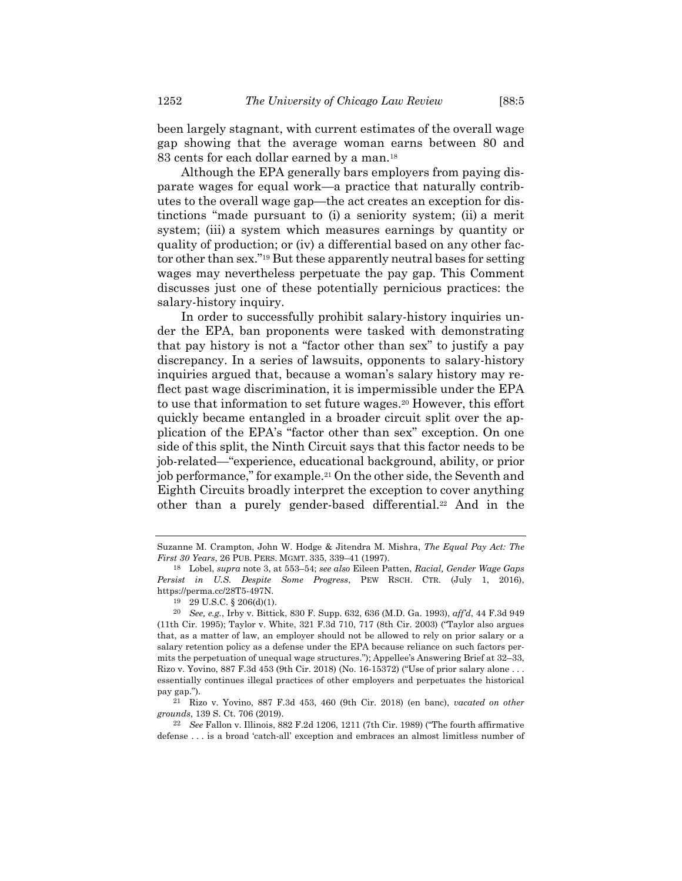been largely stagnant, with current estimates of the overall wage gap showing that the average woman earns between 80 and

83 cents for each dollar earned by a man.<sup>18</sup> Although the EPA generally bars employers from paying disparate wages for equal work—a practice that naturally contributes to the overall wage gap—the act creates an exception for distinctions "made pursuant to (i) a seniority system; (ii) a merit system; (iii) a system which measures earnings by quantity or quality of production; or (iv) a differential based on any other factor other than sex."<sup>19</sup> But these apparently neutral bases for setting wages may nevertheless perpetuate the pay gap. This Comment discusses just one of these potentially pernicious practices: the salary-history inquiry.

In order to successfully prohibit salary-history inquiries under the EPA, ban proponents were tasked with demonstrating that pay history is not a "factor other than sex" to justify a pay discrepancy. In a series of lawsuits, opponents to salary-history inquiries argued that, because a woman's salary history may reflect past wage discrimination, it is impermissible under the EPA to use that information to set future wages.<sup>20</sup> However, this effort quickly became entangled in a broader circuit split over the application of the EPA's "factor other than sex" exception. On one side of this split, the Ninth Circuit says that this factor needs to be job-related—"experience, educational background, ability, or prior job performance," for example.<sup>21</sup> On the other side, the Seventh and Eighth Circuits broadly interpret the exception to cover anything other than a purely gender-based differential.<sup>22</sup> And in the

Suzanne M. Crampton, John W. Hodge & Jitendra M. Mishra, *The Equal Pay Act: The First 30 Years*, 26 PUB. PERS. MGMT. 335, 339–41 (1997).

<sup>18</sup> Lobel, *supra* not[e 3,](#page-2-0) at 553–54; *see also* Eileen Patten, *Racial, Gender Wage Gaps Persist in U.S. Despite Some Progress*, PEW RSCH. CTR. (July 1, 2016), https://perma.cc/28T5-497N.

<sup>19</sup> 29 U.S.C. § 206(d)(1).

<sup>20</sup> *See, e.g.*, Irby v. Bittick, 830 F. Supp. 632, 636 (M.D. Ga. 1993), *aff'd*, 44 F.3d 949 (11th Cir. 1995); Taylor v. White, 321 F.3d 710, 717 (8th Cir. 2003) ("Taylor also argues that, as a matter of law, an employer should not be allowed to rely on prior salary or a salary retention policy as a defense under the EPA because reliance on such factors permits the perpetuation of unequal wage structures."); Appellee's Answering Brief at 32–33, Rizo v. Yovino, 887 F.3d 453 (9th Cir. 2018) (No. 16-15372) ("Use of prior salary alone . . . essentially continues illegal practices of other employers and perpetuates the historical pay gap.").

<sup>21</sup> Rizo v. Yovino, 887 F.3d 453, 460 (9th Cir. 2018) (en banc), *vacated on other grounds*, 139 S. Ct. 706 (2019).

<sup>22</sup> *See* Fallon v. Illinois, 882 F.2d 1206, 1211 (7th Cir. 1989) ("The fourth affirmative defense . . . is a broad 'catch-all' exception and embraces an almost limitless number of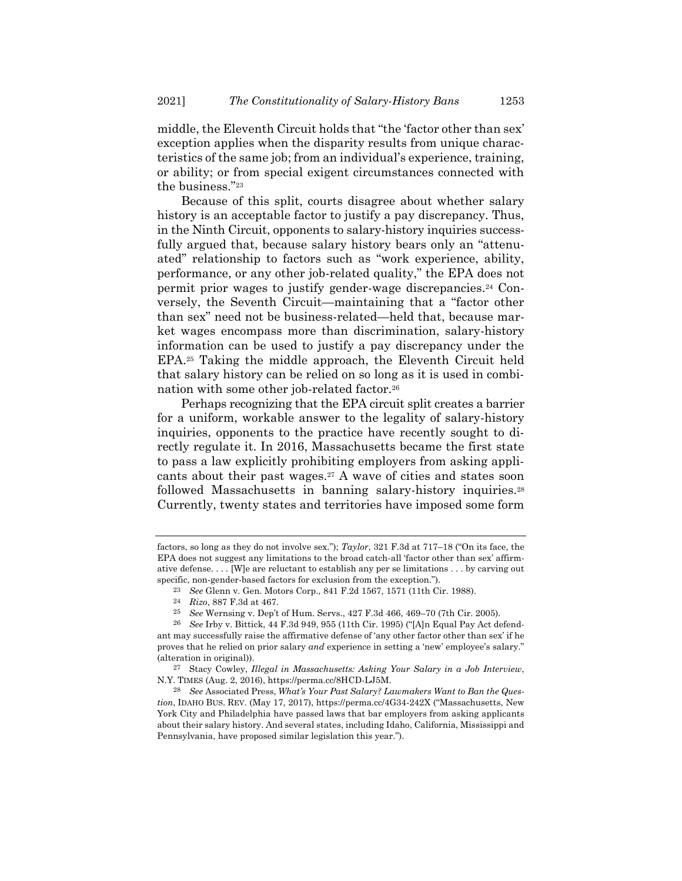middle, the Eleventh Circuit holds that "the 'factor other than sex' exception applies when the disparity results from unique characteristics of the same job; from an individual's experience, training, or ability; or from special exigent circumstances connected with the business."<sup>23</sup>

Because of this split, courts disagree about whether salary history is an acceptable factor to justify a pay discrepancy. Thus, in the Ninth Circuit, opponents to salary-history inquiries successfully argued that, because salary history bears only an "attenuated" relationship to factors such as "work experience, ability, performance, or any other job-related quality," the EPA does not permit prior wages to justify gender-wage discrepancies.<sup>24</sup> Conversely, the Seventh Circuit—maintaining that a "factor other than sex" need not be business-related—held that, because market wages encompass more than discrimination, salary-history information can be used to justify a pay discrepancy under the EPA.<sup>25</sup> Taking the middle approach, the Eleventh Circuit held that salary history can be relied on so long as it is used in combination with some other job-related factor.<sup>26</sup>

Perhaps recognizing that the EPA circuit split creates a barrier for a uniform, workable answer to the legality of salary-history inquiries, opponents to the practice have recently sought to directly regulate it. In 2016, Massachusetts became the first state to pass a law explicitly prohibiting employers from asking applicants about their past wages.<sup>27</sup> A wave of cities and states soon followed Massachusetts in banning salary-history inquiries.<sup>28</sup> Currently, twenty states and territories have imposed some form

factors, so long as they do not involve sex."); *Taylor*, 321 F.3d at 717–18 ("On its face, the EPA does not suggest any limitations to the broad catch-all 'factor other than sex' affirmative defense. . . . [W]e are reluctant to establish any per se limitations . . . by carving out specific, non-gender-based factors for exclusion from the exception.").

<span id="page-6-0"></span><sup>23</sup> *See* Glenn v. Gen. Motors Corp., 841 F.2d 1567, 1571 (11th Cir. 1988).

<sup>24</sup> *Rizo*, 887 F.3d at 467.

<sup>25</sup> *See* Wernsing v. Dep't of Hum. Servs., 427 F.3d 466, 469–70 (7th Cir. 2005).

<sup>26</sup> *See* Irby v. Bittick, 44 F.3d 949, 955 (11th Cir. 1995) ("[A]n Equal Pay Act defendant may successfully raise the affirmative defense of 'any other factor other than sex' if he proves that he relied on prior salary *and* experience in setting a 'new' employee's salary." (alteration in original)).

<sup>27</sup> Stacy Cowley, *Illegal in Massachusetts: Asking Your Salary in a Job Interview*, N.Y. TIMES (Aug. 2, 2016), https://perma.cc/8HCD-LJ5M.

<sup>28</sup> *See* Associated Press, *What's Your Past Salary? Lawmakers Want to Ban the Question*, IDAHO BUS. REV. (May 17, 2017), https://perma.cc/4G34-242X ("Massachusetts, New York City and Philadelphia have passed laws that bar employers from asking applicants about their salary history. And several states, including Idaho, California, Mississippi and Pennsylvania, have proposed similar legislation this year.").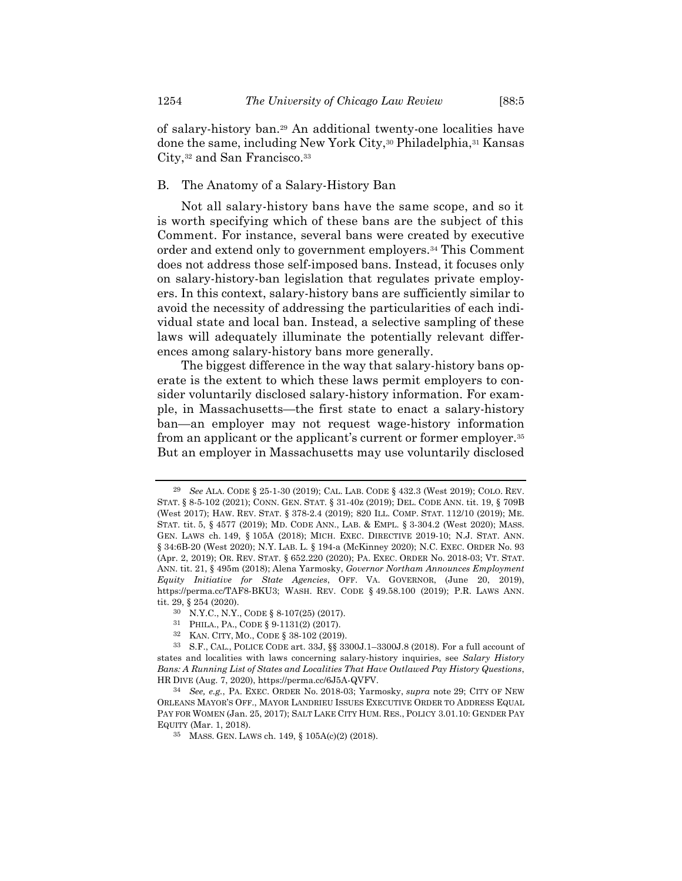<span id="page-7-0"></span>of salary-history ban.<sup>29</sup> An additional twenty-one localities have done the same, including New York City,<sup>30</sup> Philadelphia,<sup>31</sup> Kansas City,<sup>32</sup> and San Francisco.<sup>33</sup>

# B. The Anatomy of a Salary-History Ban

Not all salary-history bans have the same scope, and so it is worth specifying which of these bans are the subject of this Comment. For instance, several bans were created by executive order and extend only to government employers.<sup>34</sup> This Comment does not address those self-imposed bans. Instead, it focuses only on salary-history-ban legislation that regulates private employers. In this context, salary-history bans are sufficiently similar to avoid the necessity of addressing the particularities of each individual state and local ban. Instead, a selective sampling of these laws will adequately illuminate the potentially relevant differences among salary-history bans more generally.

The biggest difference in the way that salary-history bans operate is the extent to which these laws permit employers to consider voluntarily disclosed salary-history information. For example, in Massachusetts—the first state to enact a salary-history ban—an employer may not request wage-history information from an applicant or the applicant's current or former employer.<sup>35</sup> But an employer in Massachusetts may use voluntarily disclosed

<sup>29</sup> *See* ALA. CODE § 25-1-30 (2019); CAL. LAB. CODE § 432.3 (West 2019); COLO. REV. STAT. § 8-5-102 (2021); CONN. GEN. STAT. § 31-40z (2019); DEL. CODE ANN. tit. 19, § 709B (West 2017); HAW. REV. STAT. § 378-2.4 (2019); 820 ILL. COMP. STAT. 112/10 (2019); ME. STAT. tit. 5, § 4577 (2019); MD. CODE ANN., LAB. & EMPL. § 3-304.2 (West 2020); MASS. GEN. LAWS ch. 149, § 105A (2018); MICH. EXEC. DIRECTIVE 2019-10; N.J. STAT. ANN. § 34:6B-20 (West 2020); N.Y. LAB. L. § 194-a (McKinney 2020); N.C. EXEC. ORDER No. 93 (Apr. 2, 2019); OR. REV. STAT. § 652.220 (2020); PA. EXEC. ORDER No. 2018-03; VT. STAT. ANN. tit. 21, § 495m (2018); Alena Yarmosky, *Governor Northam Announces Employment Equity Initiative for State Agencies*, OFF. VA. GOVERNOR, (June 20, 2019), https://perma.cc/TAF8-BKU3; WASH. REV. CODE § 49.58.100 (2019); P.R. LAWS ANN. tit. 29, § 254 (2020).

<sup>30</sup> N.Y.C., N.Y., CODE § 8-107(25) (2017).

<sup>31</sup> PHILA., PA., CODE § 9-1131(2) (2017).<br>32 KAN CITY MO, CODE § 38-102 (2019).

<sup>32</sup> KAN. CITY, MO., CODE § 38-102 (2019).

<sup>33</sup> S.F., CAL., POLICE CODE art. 33J, §§ 3300J.1–3300J.8 (2018). For a full account of states and localities with laws concerning salary-history inquiries, see *Salary History Bans: A Running List of States and Localities That Have Outlawed Pay History Questions*, HR DIVE (Aug. 7, 2020), https://perma.cc/6J5A-QVFV.

<sup>34</sup> *See, e.g.*, PA. EXEC. ORDER No. 2018-03; Yarmosky, *supra* note [29;](#page-7-0) CITY OF NEW ORLEANS MAYOR'S OFF., MAYOR LANDRIEU ISSUES EXECUTIVE ORDER TO ADDRESS EQUAL PAY FOR WOMEN (Jan. 25, 2017); SALT LAKE CITY HUM. RES., POLICY 3.01.10: GENDER PAY EQUITY (Mar. 1, 2018).

<sup>35</sup> MASS. GEN. LAWS ch. 149, § 105A(c)(2) (2018).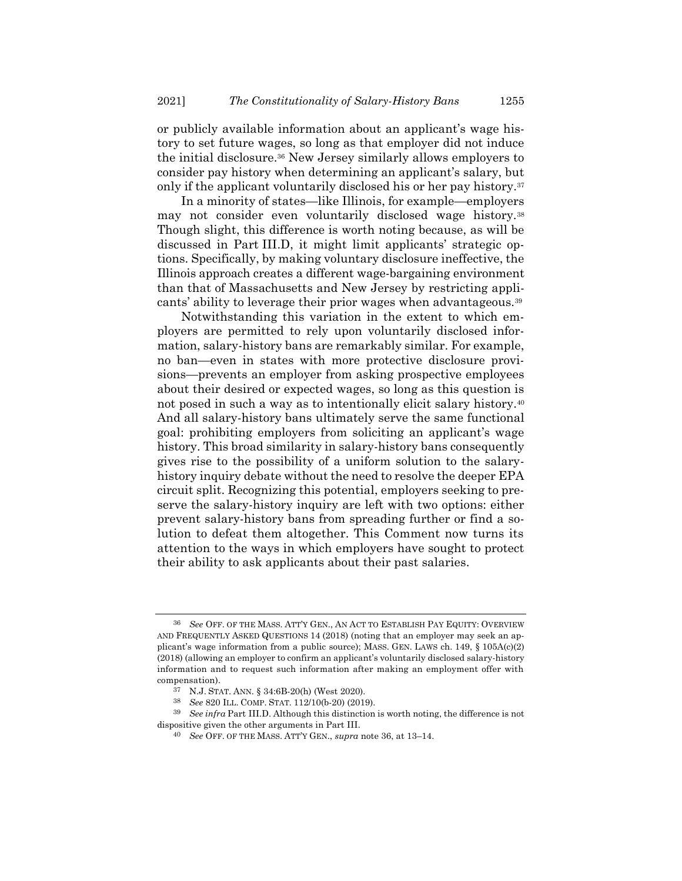<span id="page-8-0"></span>or publicly available information about an applicant's wage history to set future wages, so long as that employer did not induce the initial disclosure.<sup>36</sup> New Jersey similarly allows employers to consider pay history when determining an applicant's salary, but only if the applicant voluntarily disclosed his or her pay history.<sup>37</sup>

In a minority of states—like Illinois, for example—employers may not consider even voluntarily disclosed wage history.<sup>38</sup> Though slight, this difference is worth noting because, as will be discussed in Part III.D, it might limit applicants' strategic options. Specifically, by making voluntary disclosure ineffective, the Illinois approach creates a different wage-bargaining environment than that of Massachusetts and New Jersey by restricting applicants' ability to leverage their prior wages when advantageous.<sup>39</sup>

Notwithstanding this variation in the extent to which employers are permitted to rely upon voluntarily disclosed information, salary-history bans are remarkably similar. For example, no ban—even in states with more protective disclosure provisions—prevents an employer from asking prospective employees about their desired or expected wages, so long as this question is not posed in such a way as to intentionally elicit salary history.<sup>40</sup> And all salary-history bans ultimately serve the same functional goal: prohibiting employers from soliciting an applicant's wage history. This broad similarity in salary-history bans consequently gives rise to the possibility of a uniform solution to the salaryhistory inquiry debate without the need to resolve the deeper EPA circuit split. Recognizing this potential, employers seeking to preserve the salary-history inquiry are left with two options: either prevent salary-history bans from spreading further or find a solution to defeat them altogether. This Comment now turns its attention to the ways in which employers have sought to protect their ability to ask applicants about their past salaries.

<sup>36</sup> *See* OFF. OF THE MASS. ATT'Y GEN., AN ACT TO ESTABLISH PAY EQUITY: OVERVIEW AND FREQUENTLY ASKED QUESTIONS 14 (2018) (noting that an employer may seek an applicant's wage information from a public source); MASS. GEN. LAWS ch. 149, § 105A(c)(2) (2018) (allowing an employer to confirm an applicant's voluntarily disclosed salary-history information and to request such information after making an employment offer with compensation).

<sup>37</sup> N.J. STAT. ANN. § 34:6B-20(h) (West 2020).

<sup>38</sup> *See* 820 ILL. COMP. STAT. 112/10(b-20) (2019).

<sup>39</sup> *See infra* Part III.D. Although this distinction is worth noting, the difference is not dispositive given the other arguments in Part III.

<sup>40</sup> *See* OFF. OF THE MASS. ATT'Y GEN., *supra* not[e 36,](#page-8-0) at 13–14.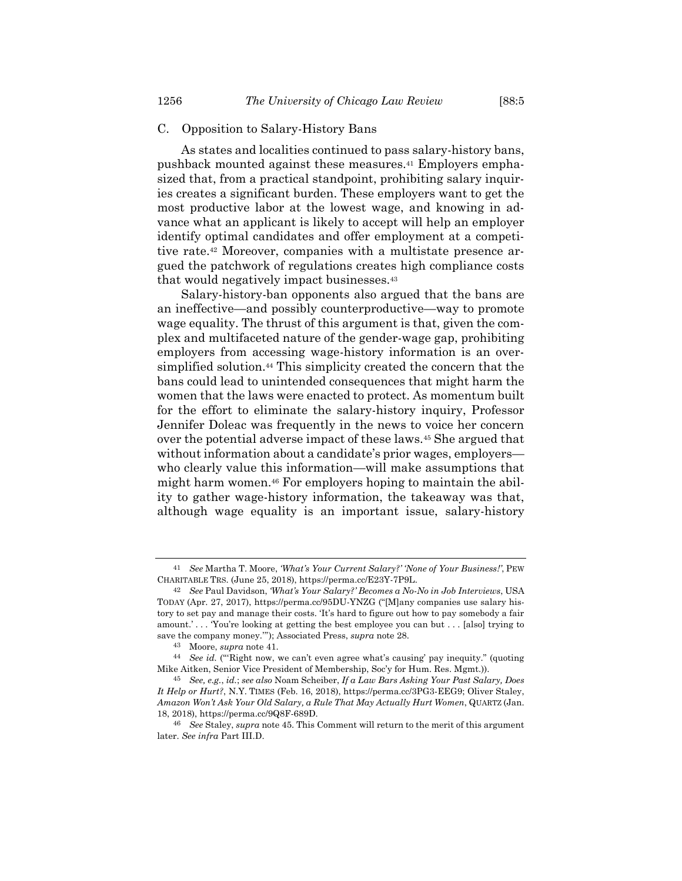### C. Opposition to Salary-History Bans

<span id="page-9-0"></span>As states and localities continued to pass salary-history bans, pushback mounted against these measures.<sup>41</sup> Employers emphasized that, from a practical standpoint, prohibiting salary inquiries creates a significant burden. These employers want to get the most productive labor at the lowest wage, and knowing in advance what an applicant is likely to accept will help an employer identify optimal candidates and offer employment at a competitive rate.<sup>42</sup> Moreover, companies with a multistate presence argued the patchwork of regulations creates high compliance costs that would negatively impact businesses.<sup>43</sup>

Salary-history-ban opponents also argued that the bans are an ineffective—and possibly counterproductive—way to promote wage equality. The thrust of this argument is that, given the complex and multifaceted nature of the gender-wage gap, prohibiting employers from accessing wage-history information is an oversimplified solution.<sup>44</sup> This simplicity created the concern that the bans could lead to unintended consequences that might harm the women that the laws were enacted to protect. As momentum built for the effort to eliminate the salary-history inquiry, Professor Jennifer Doleac was frequently in the news to voice her concern over the potential adverse impact of these laws.<sup>45</sup> She argued that without information about a candidate's prior wages, employers who clearly value this information—will make assumptions that might harm women.<sup>46</sup> For employers hoping to maintain the ability to gather wage-history information, the takeaway was that, although wage equality is an important issue, salary-history

<span id="page-9-1"></span><sup>41</sup> *See* Martha T. Moore, *'What's Your Current Salary?' 'None of Your Business!'*, PEW CHARITABLE TRS. (June 25, 2018), https://perma.cc/E23Y-7P9L.

<sup>42</sup> *See* Paul Davidson, *'What's Your Salary?' Becomes a No-No in Job Interviews*, USA TODAY (Apr. 27, 2017), https://perma.cc/95DU-YNZG ("[M]any companies use salary history to set pay and manage their costs. 'It's hard to figure out how to pay somebody a fair amount.'... You're looking at getting the best employee you can but ... [also] trying to save the company money.'"); Associated Press, *supra* not[e 28.](#page-6-0)

<sup>43</sup> Moore, *supra* note [41.](#page-9-0)

<sup>44</sup> *See id.* ("'Right now, we can't even agree what's causing' pay inequity." (quoting Mike Aitken, Senior Vice President of Membership, Soc'y for Hum. Res. Mgmt.)).

<sup>45</sup> *See, e.g.*, *id.*; *see also* Noam Scheiber, *If a Law Bars Asking Your Past Salary, Does It Help or Hurt?*, N.Y. TIMES (Feb. 16, 2018), https://perma.cc/3PG3-EEG9; Oliver Staley, *Amazon Won't Ask Your Old Salary, a Rule That May Actually Hurt Women*, QUARTZ (Jan. 18, 2018), https://perma.cc/9Q8F-689D.

<sup>46</sup> *See* Staley, *supra* not[e 45.](#page-9-1) This Comment will return to the merit of this argument later. *See infra* Part III.D.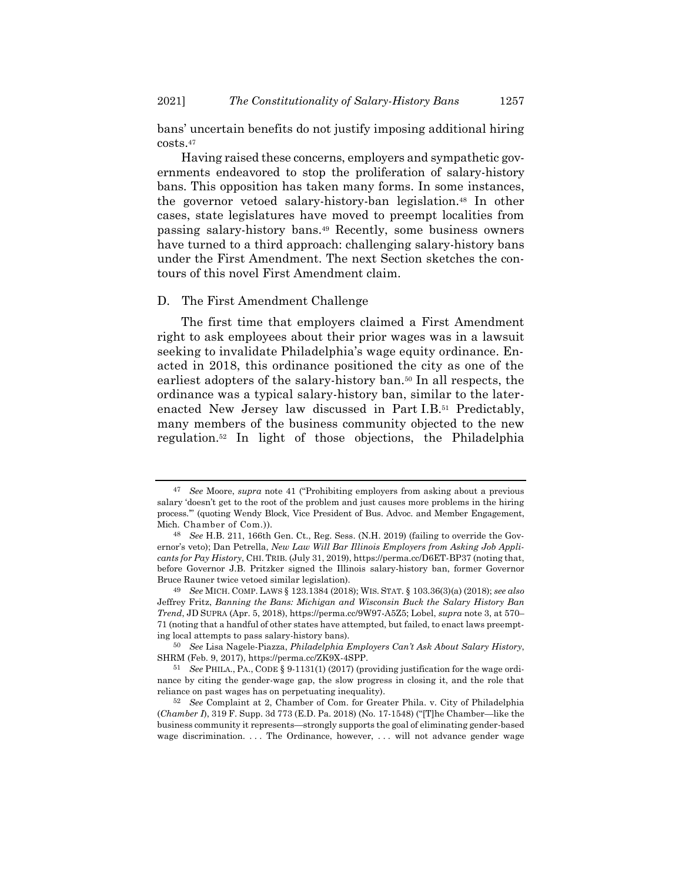bans' uncertain benefits do not justify imposing additional hiring costs.<sup>47</sup>

Having raised these concerns, employers and sympathetic governments endeavored to stop the proliferation of salary-history bans. This opposition has taken many forms. In some instances, the governor vetoed salary-history-ban legislation.<sup>48</sup> In other cases, state legislatures have moved to preempt localities from passing salary-history bans.<sup>49</sup> Recently, some business owners have turned to a third approach: challenging salary-history bans under the First Amendment. The next Section sketches the contours of this novel First Amendment claim.

## D. The First Amendment Challenge

The first time that employers claimed a First Amendment right to ask employees about their prior wages was in a lawsuit seeking to invalidate Philadelphia's wage equity ordinance. Enacted in 2018, this ordinance positioned the city as one of the earliest adopters of the salary-history ban.<sup>50</sup> In all respects, the ordinance was a typical salary-history ban, similar to the laterenacted New Jersey law discussed in Part I.B. <sup>51</sup> Predictably, many members of the business community objected to the new regulation.<sup>52</sup> In light of those objections, the Philadelphia

<sup>47</sup> *See* Moore, *supra* note [41](#page-9-0) ("Prohibiting employers from asking about a previous salary 'doesn't get to the root of the problem and just causes more problems in the hiring process.'" (quoting Wendy Block, Vice President of Bus. Advoc. and Member Engagement, Mich. Chamber of Com.)).

<sup>48</sup> *See* H.B. 211, 166th Gen. Ct., Reg. Sess. (N.H. 2019) (failing to override the Governor's veto); Dan Petrella, *New Law Will Bar Illinois Employers from Asking Job Applicants for Pay History*, CHI. TRIB. (July 31, 2019), https://perma.cc/D6ET-BP37 (noting that, before Governor J.B. Pritzker signed the Illinois salary-history ban, former Governor Bruce Rauner twice vetoed similar legislation).

<sup>49</sup> *See* MICH. COMP. LAWS § 123.1384 (2018); WIS. STAT. § 103.36(3)(a) (2018); *see also* Jeffrey Fritz, *Banning the Bans: Michigan and Wisconsin Buck the Salary History Ban Trend*, JD SUPRA (Apr. 5, 2018), https://perma.cc/9W97-A5Z5; Lobel, *supra* note [3,](#page-2-0) at 570– 71 (noting that a handful of other states have attempted, but failed, to enact laws preempting local attempts to pass salary-history bans).

<sup>50</sup> *See* Lisa Nagele-Piazza, *Philadelphia Employers Can't Ask About Salary History*, SHRM (Feb. 9, 2017), https://perma.cc/ZK9X-4SPP.

<sup>51</sup> *See* PHILA., PA., CODE § 9-1131(1) (2017) (providing justification for the wage ordinance by citing the gender-wage gap, the slow progress in closing it, and the role that reliance on past wages has on perpetuating inequality).

<sup>52</sup> *See* Complaint at 2, Chamber of Com. for Greater Phila. v. City of Philadelphia (*Chamber I*), 319 F. Supp. 3d 773 (E.D. Pa. 2018) (No. 17-1548) ("[T]he Chamber—like the business community it represents—strongly supports the goal of eliminating gender-based wage discrimination. . . . The Ordinance, however, . . . will not advance gender wage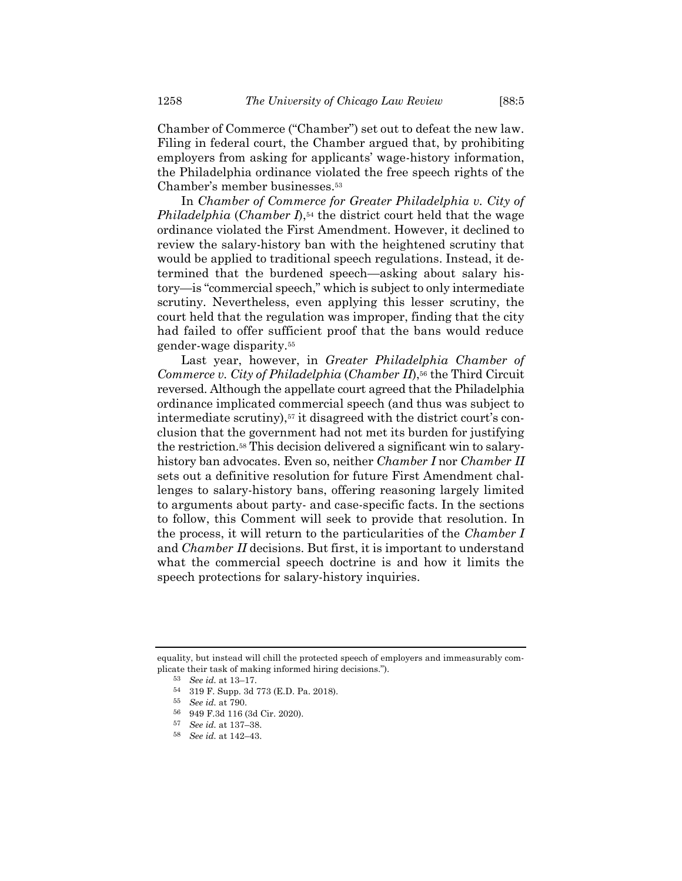Chamber of Commerce ("Chamber") set out to defeat the new law. Filing in federal court, the Chamber argued that, by prohibiting employers from asking for applicants' wage-history information, the Philadelphia ordinance violated the free speech rights of the Chamber's member businesses.<sup>53</sup>

In *Chamber of Commerce for Greater Philadelphia v. City of Philadelphia* (*Chamber I*),<sup>54</sup> the district court held that the wage ordinance violated the First Amendment. However, it declined to review the salary-history ban with the heightened scrutiny that would be applied to traditional speech regulations. Instead, it determined that the burdened speech—asking about salary history—is "commercial speech," which is subject to only intermediate scrutiny. Nevertheless, even applying this lesser scrutiny, the court held that the regulation was improper, finding that the city had failed to offer sufficient proof that the bans would reduce gender-wage disparity.<sup>55</sup>

Last year, however, in *Greater Philadelphia Chamber of Commerce v. City of Philadelphia* (*Chamber II*),<sup>56</sup> the Third Circuit reversed. Although the appellate court agreed that the Philadelphia ordinance implicated commercial speech (and thus was subject to intermediate scrutiny),<sup>57</sup> it disagreed with the district court's conclusion that the government had not met its burden for justifying the restriction.<sup>58</sup> This decision delivered a significant win to salaryhistory ban advocates. Even so, neither *Chamber I* nor *Chamber II* sets out a definitive resolution for future First Amendment challenges to salary-history bans, offering reasoning largely limited to arguments about party- and case-specific facts. In the sections to follow, this Comment will seek to provide that resolution. In the process, it will return to the particularities of the *Chamber I* and *Chamber II* decisions. But first, it is important to understand what the commercial speech doctrine is and how it limits the speech protections for salary-history inquiries.

equality, but instead will chill the protected speech of employers and immeasurably complicate their task of making informed hiring decisions.").

<sup>53</sup> *See id.* at 13–17.

<sup>54</sup> 319 F. Supp. 3d 773 (E.D. Pa. 2018).

<sup>55</sup> *See id.* at 790.

<sup>56</sup> 949 F.3d 116 (3d Cir. 2020).

<sup>57</sup> *See id.* at 137–38.

<sup>58</sup> *See id.* at 142–43.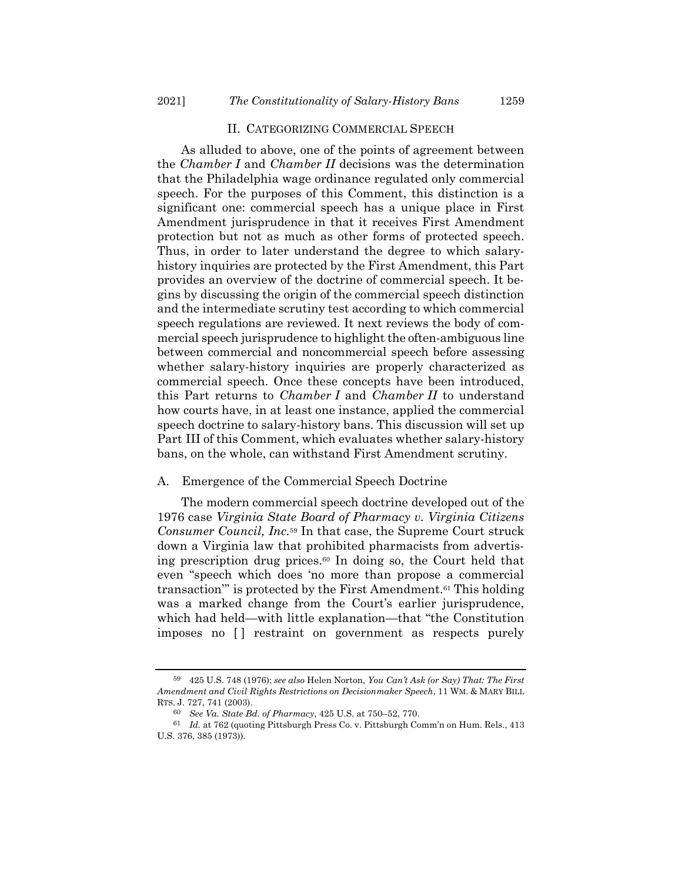#### II. CATEGORIZING COMMERCIAL SPEECH

As alluded to above, one of the points of agreement between the *Chamber I* and *Chamber II* decisions was the determination that the Philadelphia wage ordinance regulated only commercial speech. For the purposes of this Comment, this distinction is a significant one: commercial speech has a unique place in First Amendment jurisprudence in that it receives First Amendment protection but not as much as other forms of protected speech. Thus, in order to later understand the degree to which salaryhistory inquiries are protected by the First Amendment, this Part provides an overview of the doctrine of commercial speech. It begins by discussing the origin of the commercial speech distinction and the intermediate scrutiny test according to which commercial speech regulations are reviewed. It next reviews the body of commercial speech jurisprudence to highlight the often-ambiguous line between commercial and noncommercial speech before assessing whether salary-history inquiries are properly characterized as commercial speech. Once these concepts have been introduced, this Part returns to *Chamber I* and *Chamber II* to understand how courts have, in at least one instance, applied the commercial speech doctrine to salary-history bans. This discussion will set up Part III of this Comment, which evaluates whether salary-history bans, on the whole, can withstand First Amendment scrutiny.

#### A. Emergence of the Commercial Speech Doctrine

<span id="page-12-0"></span>The modern commercial speech doctrine developed out of the 1976 case *Virginia State Board of Pharmacy v. Virginia Citizens Consumer Council, Inc.*<sup>59</sup> In that case, the Supreme Court struck down a Virginia law that prohibited pharmacists from advertising prescription drug prices.<sup>60</sup> In doing so, the Court held that even "speech which does 'no more than propose a commercial transaction'" is protected by the First Amendment.<sup>61</sup> This holding was a marked change from the Court's earlier jurisprudence, which had held—with little explanation—that "the Constitution imposes no  $\Box$  restraint on government as respects purely

<sup>59</sup> 425 U.S. 748 (1976); *see also* Helen Norton, *You Can't Ask (or Say) That: The First Amendment and Civil Rights Restrictions on Decisionmaker Speech*, 11 WM. & MARY BILL RTS. J. 727, 741 (2003).

<sup>60</sup> *See Va. State Bd. of Pharmacy*, 425 U.S. at 750–52, 770.

<sup>61</sup> *Id.* at 762 (quoting Pittsburgh Press Co. v. Pittsburgh Comm'n on Hum. Rels., 413 U.S. 376, 385 (1973)).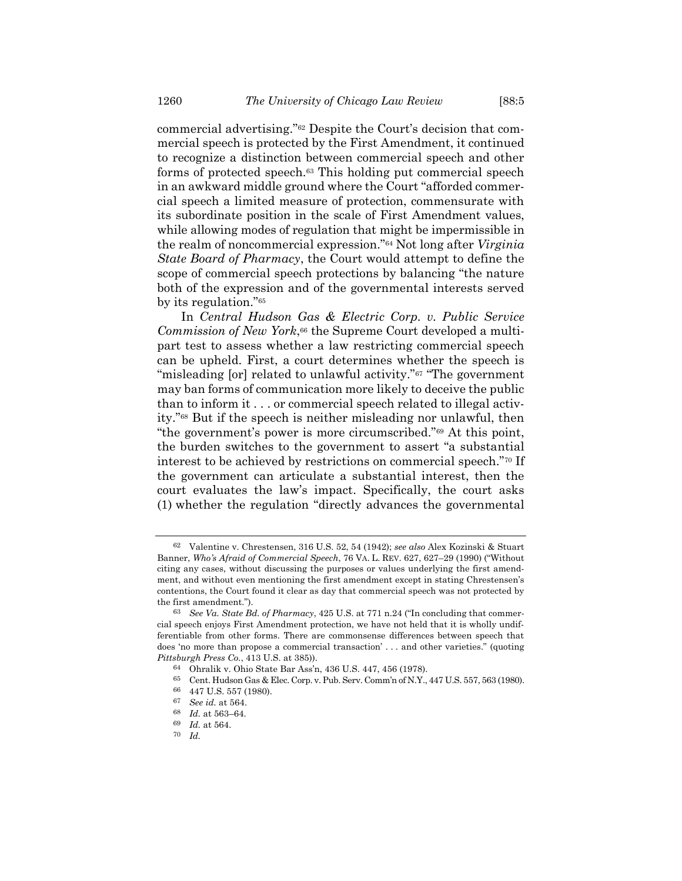<span id="page-13-0"></span>commercial advertising."<sup>62</sup> Despite the Court's decision that commercial speech is protected by the First Amendment, it continued to recognize a distinction between commercial speech and other forms of protected speech.<sup>63</sup> This holding put commercial speech in an awkward middle ground where the Court "afforded commercial speech a limited measure of protection, commensurate with its subordinate position in the scale of First Amendment values, while allowing modes of regulation that might be impermissible in the realm of noncommercial expression."<sup>64</sup> Not long after *Virginia State Board of Pharmacy*, the Court would attempt to define the scope of commercial speech protections by balancing "the nature both of the expression and of the governmental interests served by its regulation."<sup>65</sup>

In *Central Hudson Gas & Electric Corp. v. Public Service Commission of New York*, <sup>66</sup> the Supreme Court developed a multipart test to assess whether a law restricting commercial speech can be upheld. First, a court determines whether the speech is "misleading [or] related to unlawful activity."<sup>67</sup> "The government" may ban forms of communication more likely to deceive the public than to inform it . . . or commercial speech related to illegal activity."<sup>68</sup> But if the speech is neither misleading nor unlawful, then "the government's power is more circumscribed."<sup>69</sup> At this point, the burden switches to the government to assert "a substantial interest to be achieved by restrictions on commercial speech."<sup>70</sup> If the government can articulate a substantial interest, then the court evaluates the law's impact. Specifically, the court asks (1) whether the regulation "directly advances the governmental

<sup>62</sup> Valentine v. Chrestensen, 316 U.S. 52, 54 (1942); *see also* Alex Kozinski & Stuart Banner, *Who's Afraid of Commercial Speech*, 76 VA. L. REV. 627, 627–29 (1990) ("Without citing any cases, without discussing the purposes or values underlying the first amendment, and without even mentioning the first amendment except in stating Chrestensen's contentions, the Court found it clear as day that commercial speech was not protected by the first amendment.").

<sup>63</sup> *See Va. State Bd. of Pharmacy*, 425 U.S. at 771 n.24 ("In concluding that commercial speech enjoys First Amendment protection, we have not held that it is wholly undifferentiable from other forms. There are commonsense differences between speech that does 'no more than propose a commercial transaction' . . . and other varieties." (quoting *Pittsburgh Press Co.*, 413 U.S. at 385)).

<sup>64</sup> Ohralik v. Ohio State Bar Ass'n, 436 U.S. 447, 456 (1978).

<sup>65</sup> Cent. Hudson Gas & Elec. Corp. v. Pub. Serv. Comm'n of N.Y., 447 U.S. 557, 563 (1980).

<sup>66</sup> 447 U.S. 557 (1980).

<sup>67</sup> *See id.* at 564.

<sup>68</sup> *Id.* at 563–64.

<sup>69</sup> *Id.* at 564.

<sup>70</sup> *Id.*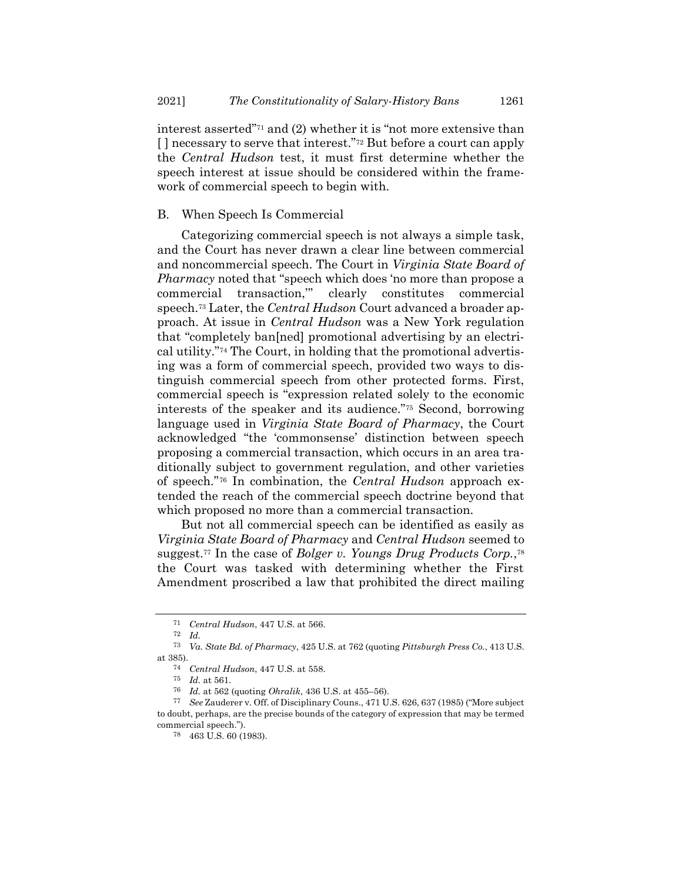interest asserted"<sup>71</sup> and (2) whether it is "not more extensive than [ ] necessary to serve that interest."<sup>72</sup> But before a court can apply the *Central Hudson* test, it must first determine whether the speech interest at issue should be considered within the framework of commercial speech to begin with.

# B. When Speech Is Commercial

Categorizing commercial speech is not always a simple task, and the Court has never drawn a clear line between commercial and noncommercial speech. The Court in *Virginia State Board of Pharmacy* noted that "speech which does 'no more than propose a commercial transaction,'" clearly constitutes commercial speech.<sup>73</sup> Later, the *Central Hudson* Court advanced a broader approach. At issue in *Central Hudson* was a New York regulation that "completely ban[ned] promotional advertising by an electrical utility."<sup>74</sup> The Court, in holding that the promotional advertising was a form of commercial speech, provided two ways to distinguish commercial speech from other protected forms. First, commercial speech is "expression related solely to the economic interests of the speaker and its audience."<sup>75</sup> Second, borrowing language used in *Virginia State Board of Pharmacy*, the Court acknowledged "the 'commonsense' distinction between speech proposing a commercial transaction, which occurs in an area traditionally subject to government regulation, and other varieties of speech." <sup>76</sup> In combination, the *Central Hudson* approach extended the reach of the commercial speech doctrine beyond that which proposed no more than a commercial transaction.

But not all commercial speech can be identified as easily as *Virginia State Board of Pharmacy* and *Central Hudson* seemed to suggest.<sup>77</sup> In the case of *Bolger v. Youngs Drug Products Corp.*, 78 the Court was tasked with determining whether the First Amendment proscribed a law that prohibited the direct mailing

<sup>71</sup> *Central Hudson*, 447 U.S. at 566.

<sup>72</sup> *Id.*

<sup>73</sup> *Va. State Bd. of Pharmacy*, 425 U.S. at 762 (quoting *Pittsburgh Press Co.*, 413 U.S. at 385).

<sup>74</sup> *Central Hudson*, 447 U.S. at 558.

<sup>75</sup> *Id.* at 561.

<sup>76</sup> *Id.* at 562 (quoting *Ohralik*, 436 U.S. at 455–56).

<sup>77</sup> *See* Zauderer v. Off. of Disciplinary Couns., 471 U.S. 626, 637 (1985) ("More subject to doubt, perhaps, are the precise bounds of the category of expression that may be termed commercial speech.").

<sup>78</sup> 463 U.S. 60 (1983).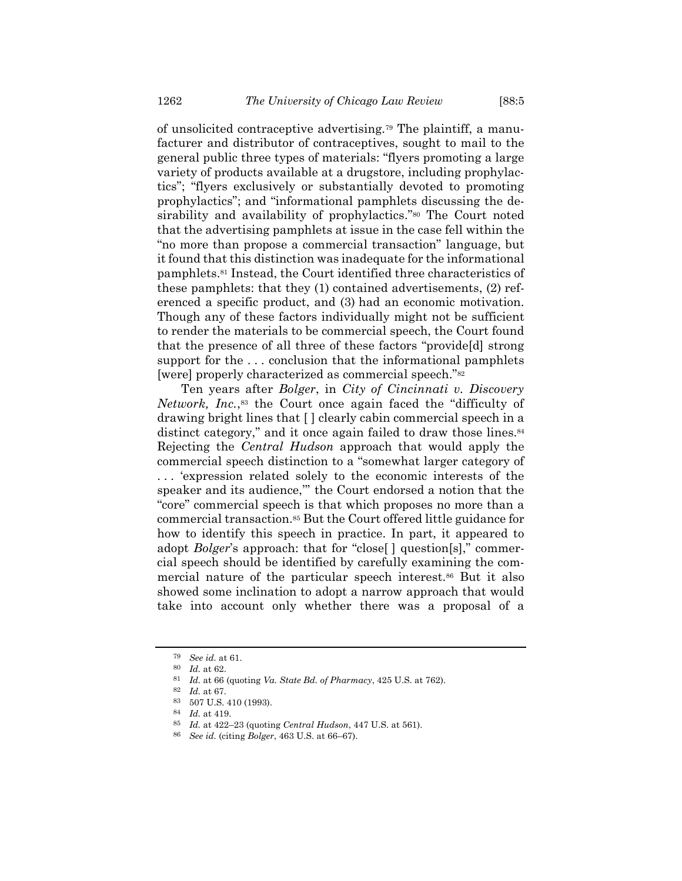of unsolicited contraceptive advertising.<sup>79</sup> The plaintiff, a manufacturer and distributor of contraceptives, sought to mail to the general public three types of materials: "flyers promoting a large variety of products available at a drugstore, including prophylactics"; "flyers exclusively or substantially devoted to promoting prophylactics"; and "informational pamphlets discussing the desirability and availability of prophylactics." <sup>80</sup> The Court noted that the advertising pamphlets at issue in the case fell within the "no more than propose a commercial transaction" language, but it found that this distinction was inadequate for the informational pamphlets.<sup>81</sup> Instead, the Court identified three characteristics of these pamphlets: that they (1) contained advertisements, (2) referenced a specific product, and (3) had an economic motivation. Though any of these factors individually might not be sufficient to render the materials to be commercial speech, the Court found that the presence of all three of these factors "provide[d] strong support for the ... conclusion that the informational pamphlets [were] properly characterized as commercial speech."<sup>82</sup>

Ten years after *Bolger*, in *City of Cincinnati v. Discovery Network, Inc.*, <sup>83</sup> the Court once again faced the "difficulty of drawing bright lines that [ ] clearly cabin commercial speech in a distinct category," and it once again failed to draw those lines.<sup>84</sup> Rejecting the *Central Hudson* approach that would apply the commercial speech distinction to a "somewhat larger category of . . . 'expression related solely to the economic interests of the speaker and its audience,'" the Court endorsed a notion that the "core" commercial speech is that which proposes no more than a commercial transaction.<sup>85</sup> But the Court offered little guidance for how to identify this speech in practice. In part, it appeared to adopt *Bolger*'s approach: that for "close[ ] question[s]," commercial speech should be identified by carefully examining the commercial nature of the particular speech interest.<sup>86</sup> But it also showed some inclination to adopt a narrow approach that would take into account only whether there was a proposal of a

<sup>79</sup> *See id.* at 61.

<sup>80</sup> *Id.* at 62.

<sup>81</sup> *Id.* at 66 (quoting *Va. State Bd. of Pharmacy*, 425 U.S. at 762).

<sup>82</sup> *Id.* at 67.

<sup>83</sup> 507 U.S. 410 (1993).

<sup>84</sup> *Id.* at 419.

<sup>85</sup> *Id.* at 422–23 (quoting *Central Hudson*, 447 U.S. at 561).

<sup>86</sup> *See id.* (citing *Bolger*, 463 U.S. at 66–67).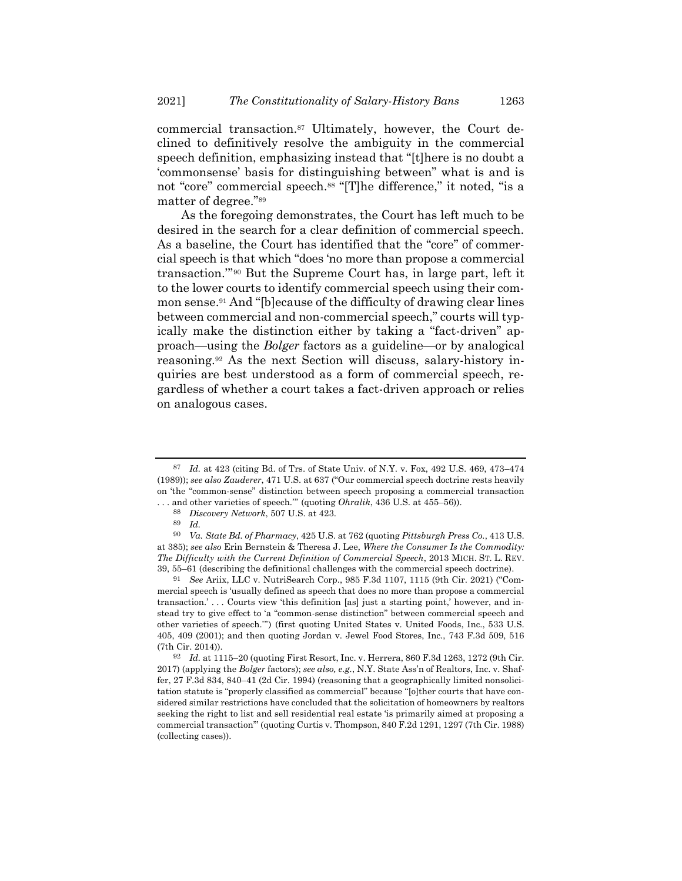commercial transaction.<sup>87</sup> Ultimately, however, the Court declined to definitively resolve the ambiguity in the commercial speech definition, emphasizing instead that "[t]here is no doubt a 'commonsense' basis for distinguishing between" what is and is not "core" commercial speech.<sup>88</sup> "[T]he difference," it noted, "is a matter of degree."<sup>89</sup>

As the foregoing demonstrates, the Court has left much to be desired in the search for a clear definition of commercial speech. As a baseline, the Court has identified that the "core" of commercial speech is that which "does 'no more than propose a commercial transaction.'" <sup>90</sup> But the Supreme Court has, in large part, left it to the lower courts to identify commercial speech using their common sense.<sup>91</sup> And "[b]ecause of the difficulty of drawing clear lines between commercial and non-commercial speech," courts will typically make the distinction either by taking a "fact-driven" approach—using the *Bolger* factors as a guideline—or by analogical reasoning. <sup>92</sup> As the next Section will discuss, salary-history inquiries are best understood as a form of commercial speech, regardless of whether a court takes a fact-driven approach or relies on analogous cases.

<sup>87</sup> *Id.* at 423 (citing Bd. of Trs. of State Univ. of N.Y. v. Fox, 492 U.S. 469, 473–474 (1989)); *see also Zauderer*, 471 U.S. at 637 ("Our commercial speech doctrine rests heavily on 'the "common-sense" distinction between speech proposing a commercial transaction . . . and other varieties of speech.'" (quoting *Ohralik*, 436 U.S. at 455–56)).

<sup>88</sup> *Discovery Network*, 507 U.S. at 423.

<sup>89</sup> *Id.*

<sup>90</sup> *Va. State Bd. of Pharmacy*, 425 U.S. at 762 (quoting *Pittsburgh Press Co.*, 413 U.S. at 385); *see also* Erin Bernstein & Theresa J. Lee, *Where the Consumer Is the Commodity: The Difficulty with the Current Definition of Commercial Speech*, 2013 MICH. ST. L. REV. 39, 55–61 (describing the definitional challenges with the commercial speech doctrine).

<sup>91</sup> *See* Ariix, LLC v. NutriSearch Corp., 985 F.3d 1107, 1115 (9th Cir. 2021) ("Commercial speech is 'usually defined as speech that does no more than propose a commercial transaction.' . . . Courts view 'this definition [as] just a starting point,' however, and instead try to give effect to 'a "common-sense distinction" between commercial speech and other varieties of speech.'") (first quoting United States v. United Foods, Inc., 533 U.S. 405, 409 (2001); and then quoting Jordan v. Jewel Food Stores, Inc., 743 F.3d 509, 516 (7th Cir. 2014)).

<sup>92</sup> *Id.* at 1115–20 (quoting First Resort, Inc. v. Herrera, 860 F.3d 1263, 1272 (9th Cir. 2017) (applying the *Bolger* factors); *see also, e.g.*, N.Y. State Ass'n of Realtors, Inc. v. Shaffer, 27 F.3d 834, 840–41 (2d Cir. 1994) (reasoning that a geographically limited nonsolicitation statute is "properly classified as commercial" because "[o]ther courts that have considered similar restrictions have concluded that the solicitation of homeowners by realtors seeking the right to list and sell residential real estate 'is primarily aimed at proposing a commercial transaction'" (quoting Curtis v. Thompson, 840 F.2d 1291, 1297 (7th Cir. 1988) (collecting cases)).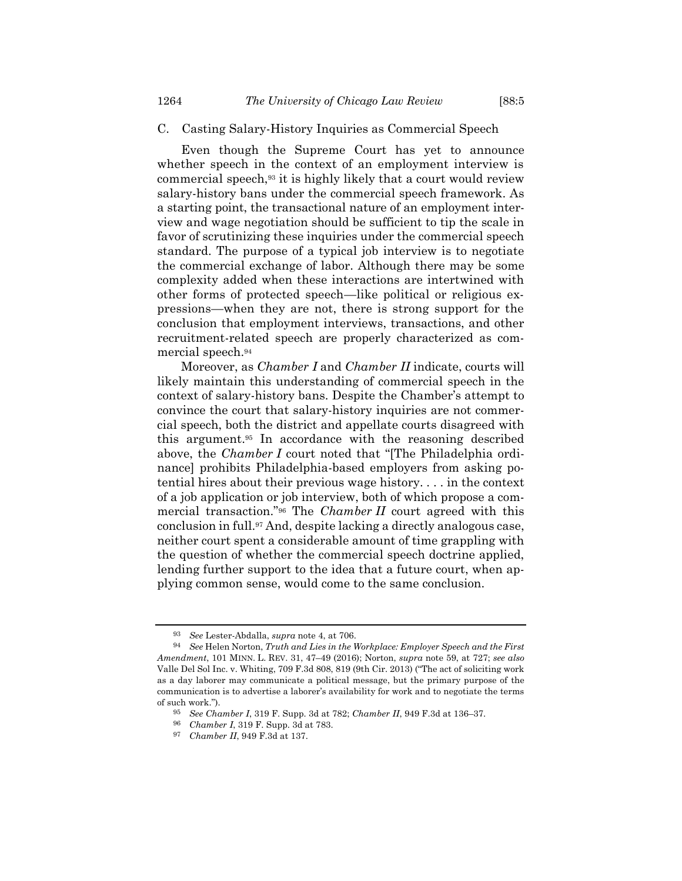# C. Casting Salary-History Inquiries as Commercial Speech

Even though the Supreme Court has yet to announce whether speech in the context of an employment interview is commercial speech,<sup>93</sup> it is highly likely that a court would review salary-history bans under the commercial speech framework. As a starting point, the transactional nature of an employment interview and wage negotiation should be sufficient to tip the scale in favor of scrutinizing these inquiries under the commercial speech standard. The purpose of a typical job interview is to negotiate the commercial exchange of labor. Although there may be some complexity added when these interactions are intertwined with other forms of protected speech—like political or religious expressions—when they are not, there is strong support for the conclusion that employment interviews, transactions, and other recruitment-related speech are properly characterized as commercial speech.<sup>94</sup>

Moreover, as *Chamber I* and *Chamber II* indicate, courts will likely maintain this understanding of commercial speech in the context of salary-history bans. Despite the Chamber's attempt to convince the court that salary-history inquiries are not commercial speech, both the district and appellate courts disagreed with this argument. <sup>95</sup> In accordance with the reasoning described above, the *Chamber I* court noted that "[The Philadelphia ordinance] prohibits Philadelphia-based employers from asking potential hires about their previous wage history. . . . in the context of a job application or job interview, both of which propose a commercial transaction."<sup>96</sup> The *Chamber II* court agreed with this conclusion in full.<sup>97</sup> And, despite lacking a directly analogous case, neither court spent a considerable amount of time grappling with the question of whether the commercial speech doctrine applied, lending further support to the idea that a future court, when applying common sense, would come to the same conclusion.

<sup>93</sup> *See* Lester-Abdalla, *supra* note [4,](#page-2-1) at 706.

<sup>94</sup> *See* Helen Norton, *Truth and Lies in the Workplace: Employer Speech and the First Amendment*, 101 MINN. L. REV. 31, 47–49 (2016); Norton, *supra* note [59,](#page-12-0) at 727; *see also* Valle Del Sol Inc. v. Whiting, 709 F.3d 808, 819 (9th Cir. 2013) ("The act of soliciting work as a day laborer may communicate a political message, but the primary purpose of the communication is to advertise a laborer's availability for work and to negotiate the terms of such work.").

<sup>95</sup> *See Chamber I*, 319 F. Supp. 3d at 782; *Chamber II*, 949 F.3d at 136–37.

<sup>96</sup> *Chamber I*, 319 F. Supp. 3d at 783.

<sup>97</sup> *Chamber II*, 949 F.3d at 137.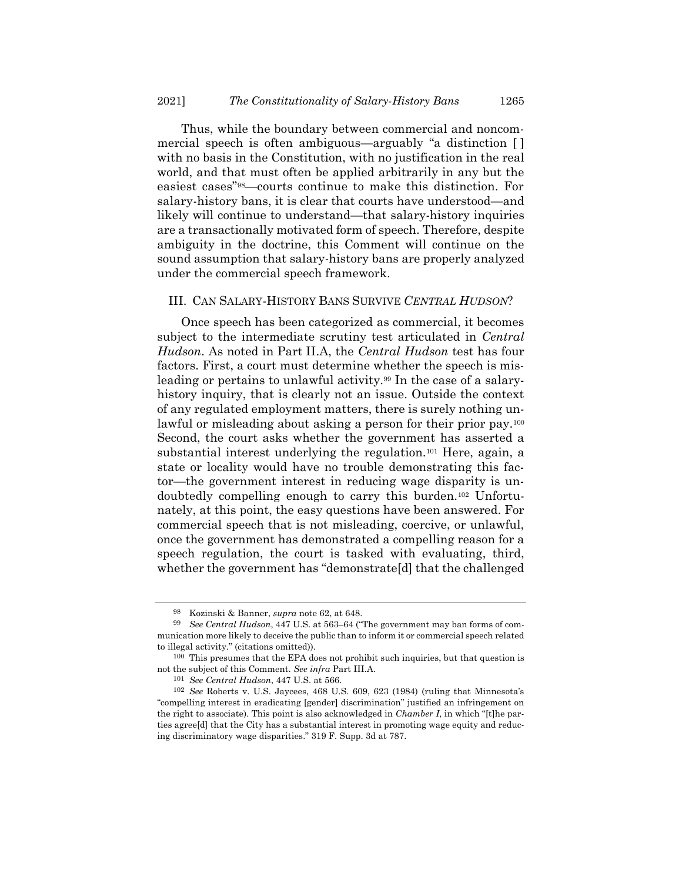Thus, while the boundary between commercial and noncommercial speech is often ambiguous—arguably "a distinction [ ] with no basis in the Constitution, with no justification in the real world, and that must often be applied arbitrarily in any but the easiest cases"98—courts continue to make this distinction. For salary-history bans, it is clear that courts have understood—and likely will continue to understand—that salary-history inquiries are a transactionally motivated form of speech. Therefore, despite ambiguity in the doctrine, this Comment will continue on the sound assumption that salary-history bans are properly analyzed under the commercial speech framework.

# III. CAN SALARY-HISTORY BANS SURVIVE *CENTRAL HUDSON*?

Once speech has been categorized as commercial, it becomes subject to the intermediate scrutiny test articulated in *Central Hudson*. As noted in Part II.A, the *Central Hudson* test has four factors. First, a court must determine whether the speech is misleading or pertains to unlawful activity.<sup>99</sup> In the case of a salaryhistory inquiry, that is clearly not an issue. Outside the context of any regulated employment matters, there is surely nothing unlawful or misleading about asking a person for their prior pay.<sup>100</sup> Second, the court asks whether the government has asserted a substantial interest underlying the regulation.<sup>101</sup> Here, again, a state or locality would have no trouble demonstrating this factor—the government interest in reducing wage disparity is undoubtedly compelling enough to carry this burden.<sup>102</sup> Unfortunately, at this point, the easy questions have been answered. For commercial speech that is not misleading, coercive, or unlawful, once the government has demonstrated a compelling reason for a speech regulation, the court is tasked with evaluating, third, whether the government has "demonstrate[d] that the challenged

<sup>98</sup> Kozinski & Banner, *supra* note [62,](#page-13-0) at 648.

<sup>99</sup> *See Central Hudson*, 447 U.S. at 563–64 ("The government may ban forms of communication more likely to deceive the public than to inform it or commercial speech related to illegal activity." (citations omitted)).

<sup>100</sup> This presumes that the EPA does not prohibit such inquiries, but that question is not the subject of this Comment. *See infra* Part III.A.

<sup>101</sup> *See Central Hudson*, 447 U.S. at 566.

<sup>102</sup> *See* Roberts v. U.S. Jaycees, 468 U.S. 609, 623 (1984) (ruling that Minnesota's "compelling interest in eradicating [gender] discrimination" justified an infringement on the right to associate). This point is also acknowledged in *Chamber I*, in which "[t]he parties agree[d] that the City has a substantial interest in promoting wage equity and reducing discriminatory wage disparities." 319 F. Supp. 3d at 787.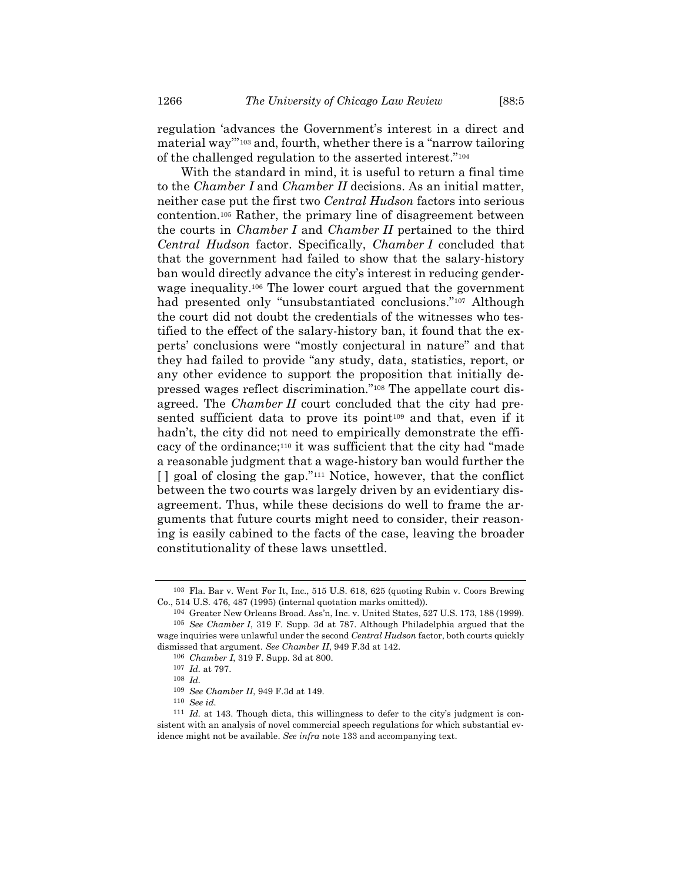regulation 'advances the Government's interest in a direct and material way'" <sup>103</sup> and, fourth, whether there is a "narrow tailoring of the challenged regulation to the asserted interest."<sup>104</sup>

With the standard in mind, it is useful to return a final time to the *Chamber I* and *Chamber II* decisions. As an initial matter, neither case put the first two *Central Hudson* factors into serious contention.<sup>105</sup> Rather, the primary line of disagreement between the courts in *Chamber I* and *Chamber II* pertained to the third *Central Hudson* factor. Specifically, *Chamber I* concluded that that the government had failed to show that the salary-history ban would directly advance the city's interest in reducing genderwage inequality.<sup>106</sup> The lower court argued that the government had presented only "unsubstantiated conclusions."<sup>107</sup> Although the court did not doubt the credentials of the witnesses who testified to the effect of the salary-history ban, it found that the experts' conclusions were "mostly conjectural in nature" and that they had failed to provide "any study, data, statistics, report, or any other evidence to support the proposition that initially depressed wages reflect discrimination."<sup>108</sup> The appellate court disagreed. The *Chamber II* court concluded that the city had presented sufficient data to prove its point<sup>109</sup> and that, even if it hadn't, the city did not need to empirically demonstrate the efficacy of the ordinance;<sup>110</sup> it was sufficient that the city had "made a reasonable judgment that a wage-history ban would further the [ ] goal of closing the gap."<sup>111</sup> Notice, however, that the conflict between the two courts was largely driven by an evidentiary disagreement. Thus, while these decisions do well to frame the arguments that future courts might need to consider, their reasoning is easily cabined to the facts of the case, leaving the broader constitutionality of these laws unsettled.

<sup>103</sup> Fla. Bar v. Went For It, Inc., 515 U.S. 618, 625 (quoting Rubin v. Coors Brewing Co., 514 U.S. 476, 487 (1995) (internal quotation marks omitted)).

<sup>104</sup> Greater New Orleans Broad. Ass'n, Inc. v. United States, 527 U.S. 173, 188 (1999). 105 *See Chamber I*, 319 F. Supp. 3d at 787. Although Philadelphia argued that the wage inquiries were unlawful under the second *Central Hudson* factor, both courts quickly dismissed that argument. *See Chamber II*, 949 F.3d at 142.

<sup>106</sup> *Chamber I*, 319 F. Supp. 3d at 800.

<sup>107</sup> *Id.* at 797.

<sup>108</sup> *Id.*

<sup>109</sup> *See Chamber II*, 949 F.3d at 149.

<sup>110</sup> *See id.*

<sup>111</sup> *Id.* at 143. Though dicta, this willingness to defer to the city's judgment is consistent with an analysis of novel commercial speech regulations for which substantial evidence might not be available. *See infra* not[e 133](#page-24-0) and accompanying text.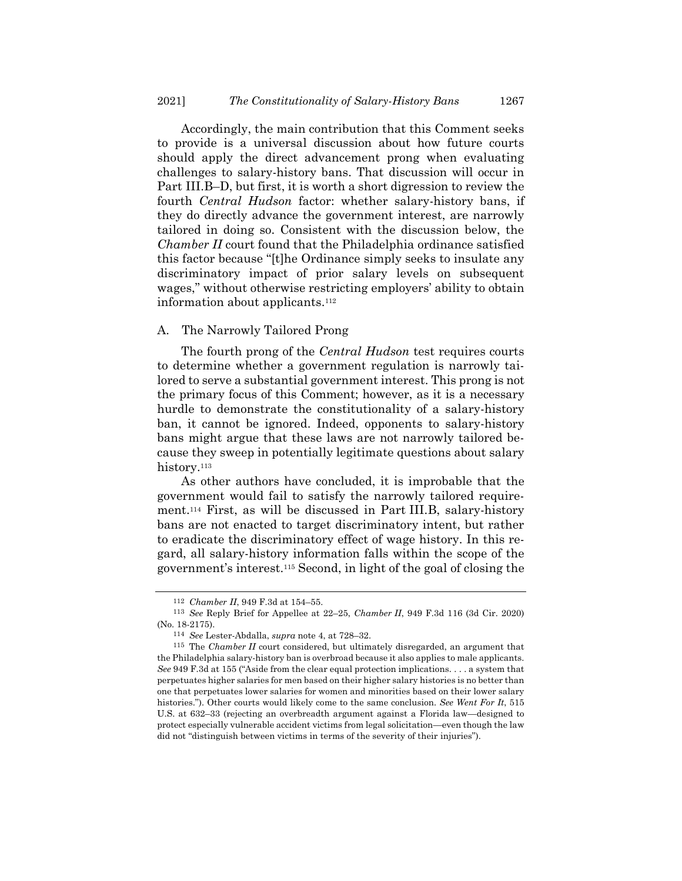Accordingly, the main contribution that this Comment seeks to provide is a universal discussion about how future courts should apply the direct advancement prong when evaluating challenges to salary-history bans. That discussion will occur in Part III.B–D, but first, it is worth a short digression to review the fourth *Central Hudson* factor: whether salary-history bans, if they do directly advance the government interest, are narrowly tailored in doing so. Consistent with the discussion below, the *Chamber II* court found that the Philadelphia ordinance satisfied this factor because "[t]he Ordinance simply seeks to insulate any discriminatory impact of prior salary levels on subsequent wages," without otherwise restricting employers' ability to obtain information about applicants.<sup>112</sup>

## A. The Narrowly Tailored Prong

The fourth prong of the *Central Hudson* test requires courts to determine whether a government regulation is narrowly tailored to serve a substantial government interest. This prong is not the primary focus of this Comment; however, as it is a necessary hurdle to demonstrate the constitutionality of a salary-history ban, it cannot be ignored. Indeed, opponents to salary-history bans might argue that these laws are not narrowly tailored because they sweep in potentially legitimate questions about salary history.<sup>113</sup>

As other authors have concluded, it is improbable that the government would fail to satisfy the narrowly tailored requirement.<sup>114</sup> First, as will be discussed in Part III.B, salary-history bans are not enacted to target discriminatory intent, but rather to eradicate the discriminatory effect of wage history. In this regard, all salary-history information falls within the scope of the government's interest.<sup>115</sup> Second, in light of the goal of closing the

<sup>112</sup> *Chamber II*, 949 F.3d at 154–55.

<sup>113</sup> *See* Reply Brief for Appellee at 22–25, *Chamber II*, 949 F.3d 116 (3d Cir. 2020) (No. 18-2175).

<sup>114</sup> *See* Lester-Abdalla, *supra* note [4,](#page-2-1) at 728–32.

<sup>115</sup> The *Chamber II* court considered, but ultimately disregarded, an argument that the Philadelphia salary-history ban is overbroad because it also applies to male applicants. *See* 949 F.3d at 155 ("Aside from the clear equal protection implications. . . . a system that perpetuates higher salaries for men based on their higher salary histories is no better than one that perpetuates lower salaries for women and minorities based on their lower salary histories."). Other courts would likely come to the same conclusion. *See Went For It*, 515 U.S. at 632–33 (rejecting an overbreadth argument against a Florida law—designed to protect especially vulnerable accident victims from legal solicitation—even though the law did not "distinguish between victims in terms of the severity of their injuries").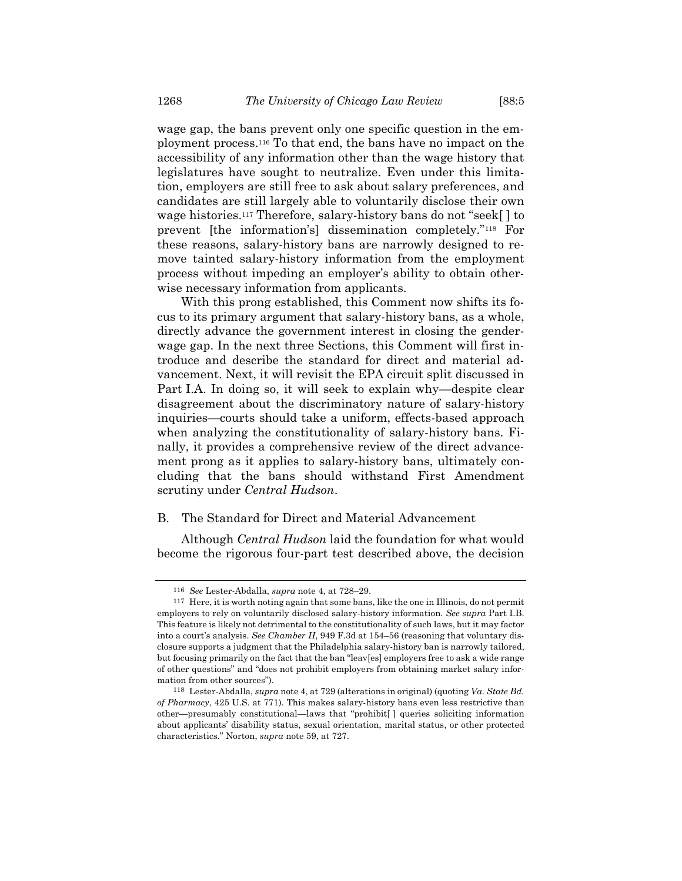wage gap, the bans prevent only one specific question in the employment process.<sup>116</sup> To that end, the bans have no impact on the accessibility of any information other than the wage history that legislatures have sought to neutralize. Even under this limitation, employers are still free to ask about salary preferences, and candidates are still largely able to voluntarily disclose their own wage histories.<sup>117</sup> Therefore, salary-history bans do not "seek[ ] to prevent [the information's] dissemination completely."<sup>118</sup> For these reasons, salary-history bans are narrowly designed to remove tainted salary-history information from the employment process without impeding an employer's ability to obtain otherwise necessary information from applicants.

With this prong established, this Comment now shifts its focus to its primary argument that salary-history bans, as a whole, directly advance the government interest in closing the genderwage gap. In the next three Sections, this Comment will first introduce and describe the standard for direct and material advancement. Next, it will revisit the EPA circuit split discussed in Part I.A. In doing so, it will seek to explain why—despite clear disagreement about the discriminatory nature of salary-history inquiries—courts should take a uniform, effects-based approach when analyzing the constitutionality of salary-history bans. Finally, it provides a comprehensive review of the direct advancement prong as it applies to salary-history bans, ultimately concluding that the bans should withstand First Amendment scrutiny under *Central Hudson*.

#### B. The Standard for Direct and Material Advancement

Although *Central Hudson* laid the foundation for what would become the rigorous four-part test described above, the decision

<sup>116</sup> *See* Lester-Abdalla, *supra* note [4,](#page-2-1) at 728–29.

<sup>117</sup> Here, it is worth noting again that some bans, like the one in Illinois, do not permit employers to rely on voluntarily disclosed salary-history information. *See supra* Part I.B. This feature is likely not detrimental to the constitutionality of such laws, but it may factor into a court's analysis. *See Chamber II*, 949 F.3d at 154–56 (reasoning that voluntary disclosure supports a judgment that the Philadelphia salary-history ban is narrowly tailored, but focusing primarily on the fact that the ban "leav[es] employers free to ask a wide range of other questions" and "does not prohibit employers from obtaining market salary information from other sources").

<sup>118</sup> Lester-Abdalla, *supra* not[e 4,](#page-2-1) at 729 (alterations in original) (quoting *Va. State Bd. of Pharmacy*, 425 U.S. at 771). This makes salary-history bans even less restrictive than other—presumably constitutional—laws that "prohibit[ ] queries soliciting information about applicants' disability status, sexual orientation, marital status, or other protected characteristics." Norton, *supra* note [59,](#page-12-0) at 727.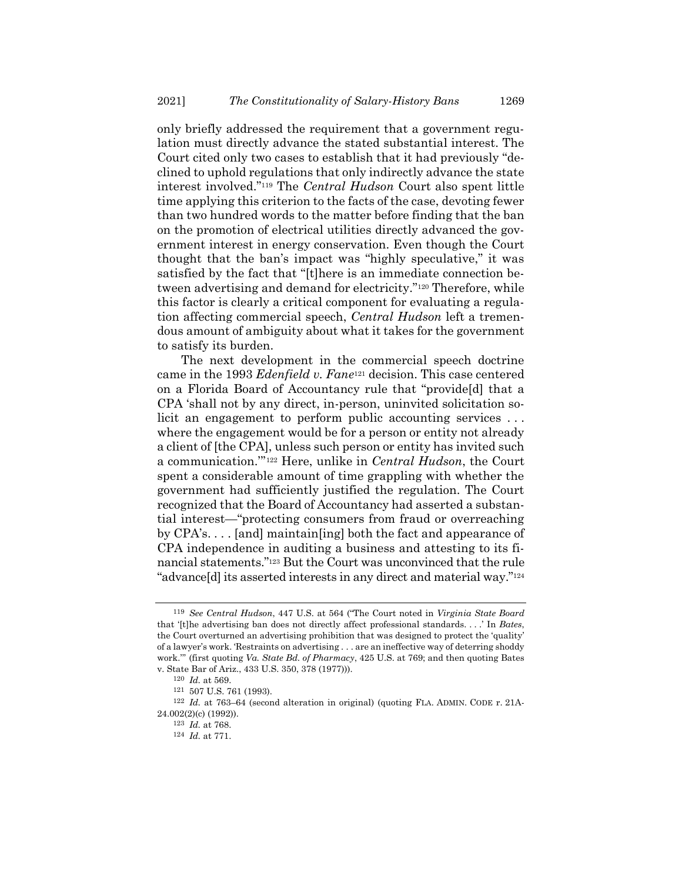only briefly addressed the requirement that a government regulation must directly advance the stated substantial interest. The Court cited only two cases to establish that it had previously "declined to uphold regulations that only indirectly advance the state interest involved."<sup>119</sup> The *Central Hudson* Court also spent little time applying this criterion to the facts of the case, devoting fewer than two hundred words to the matter before finding that the ban on the promotion of electrical utilities directly advanced the government interest in energy conservation. Even though the Court thought that the ban's impact was "highly speculative," it was satisfied by the fact that "[t]here is an immediate connection between advertising and demand for electricity."<sup>120</sup> Therefore, while this factor is clearly a critical component for evaluating a regulation affecting commercial speech, *Central Hudson* left a tremendous amount of ambiguity about what it takes for the government to satisfy its burden.

The next development in the commercial speech doctrine came in the 1993 *Edenfield v. Fane*<sup>121</sup> decision. This case centered on a Florida Board of Accountancy rule that "provide[d] that a CPA 'shall not by any direct, in-person, uninvited solicitation solicit an engagement to perform public accounting services . . . where the engagement would be for a person or entity not already a client of [the CPA], unless such person or entity has invited such a communication.'" <sup>122</sup> Here, unlike in *Central Hudson*, the Court spent a considerable amount of time grappling with whether the government had sufficiently justified the regulation. The Court recognized that the Board of Accountancy had asserted a substantial interest—"protecting consumers from fraud or overreaching by CPA's. . . . [and] maintain[ing] both the fact and appearance of CPA independence in auditing a business and attesting to its financial statements."<sup>123</sup> But the Court was unconvinced that the rule "advance[d] its asserted interests in any direct and material way."<sup>124</sup>

<sup>119</sup> *See Central Hudson*, 447 U.S. at 564 ("The Court noted in *Virginia State Board* that '[t]he advertising ban does not directly affect professional standards. . . .' In *Bates*, the Court overturned an advertising prohibition that was designed to protect the 'quality' of a lawyer's work. 'Restraints on advertising . . . are an ineffective way of deterring shoddy work.'" (first quoting *Va. State Bd. of Pharmacy*, 425 U.S. at 769; and then quoting Bates v. State Bar of Ariz., 433 U.S. 350, 378 (1977))).

<sup>120</sup> *Id.* at 569.

<sup>121</sup> 507 U.S. 761 (1993).

<sup>122</sup> *Id.* at 763–64 (second alteration in original) (quoting FLA. ADMIN. CODE r. 21A-24.002(2)(c) (1992)).

<sup>123</sup> *Id.* at 768.

<sup>124</sup> *Id.* at 771.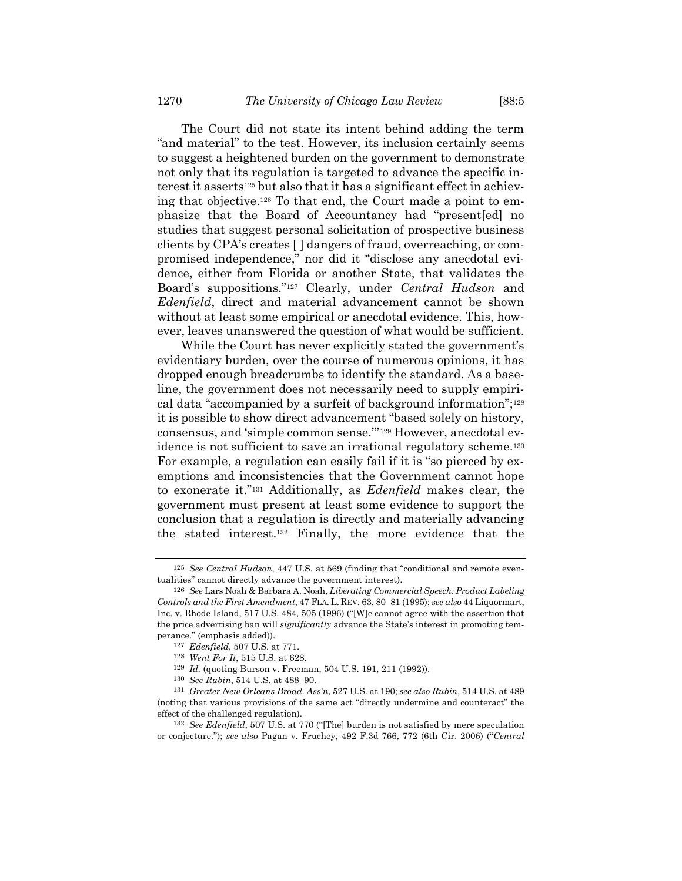The Court did not state its intent behind adding the term "and material" to the test. However, its inclusion certainly seems to suggest a heightened burden on the government to demonstrate not only that its regulation is targeted to advance the specific interest it asserts<sup>125</sup> but also that it has a significant effect in achieving that objective.<sup>126</sup> To that end, the Court made a point to emphasize that the Board of Accountancy had "present[ed] no studies that suggest personal solicitation of prospective business clients by CPA's creates [ ] dangers of fraud, overreaching, or compromised independence," nor did it "disclose any anecdotal evidence, either from Florida or another State, that validates the Board's suppositions."<sup>127</sup> Clearly, under *Central Hudson* and *Edenfield*, direct and material advancement cannot be shown without at least some empirical or anecdotal evidence. This, however, leaves unanswered the question of what would be sufficient.

While the Court has never explicitly stated the government's evidentiary burden, over the course of numerous opinions, it has dropped enough breadcrumbs to identify the standard. As a baseline, the government does not necessarily need to supply empirical data "accompanied by a surfeit of background information";<sup>128</sup> it is possible to show direct advancement "based solely on history, consensus, and 'simple common sense.'" <sup>129</sup> However, anecdotal evidence is not sufficient to save an irrational regulatory scheme.<sup>130</sup> For example, a regulation can easily fail if it is "so pierced by exemptions and inconsistencies that the Government cannot hope to exonerate it."<sup>131</sup> Additionally, as *Edenfield* makes clear, the government must present at least some evidence to support the conclusion that a regulation is directly and materially advancing the stated interest.<sup>132</sup> Finally, the more evidence that the

<sup>125</sup> *See Central Hudson*, 447 U.S. at 569 (finding that "conditional and remote eventualities" cannot directly advance the government interest).

<sup>126</sup> *See* Lars Noah & Barbara A. Noah, *Liberating Commercial Speech: Product Labeling Controls and the First Amendment*, 47 FLA. L. REV. 63, 80–81 (1995); *see also* 44 Liquormart, Inc. v. Rhode Island, 517 U.S. 484, 505 (1996) ("[W]e cannot agree with the assertion that the price advertising ban will *significantly* advance the State's interest in promoting temperance." (emphasis added)).

<sup>127</sup> *Edenfield*, 507 U.S. at 771.

<sup>128</sup> *Went For It*, 515 U.S. at 628.

<sup>129</sup> *Id.* (quoting Burson v. Freeman, 504 U.S. 191, 211 (1992)).

<sup>130</sup> *See Rubin*, 514 U.S. at 488–90.

<sup>131</sup> *Greater New Orleans Broad. Ass'n*, 527 U.S. at 190; *see also Rubin*, 514 U.S. at 489 (noting that various provisions of the same act "directly undermine and counteract" the effect of the challenged regulation).

<sup>132</sup> *See Edenfield*, 507 U.S. at 770 ("[The] burden is not satisfied by mere speculation or conjecture."); *see also* Pagan v. Fruchey, 492 F.3d 766, 772 (6th Cir. 2006) ("*Central*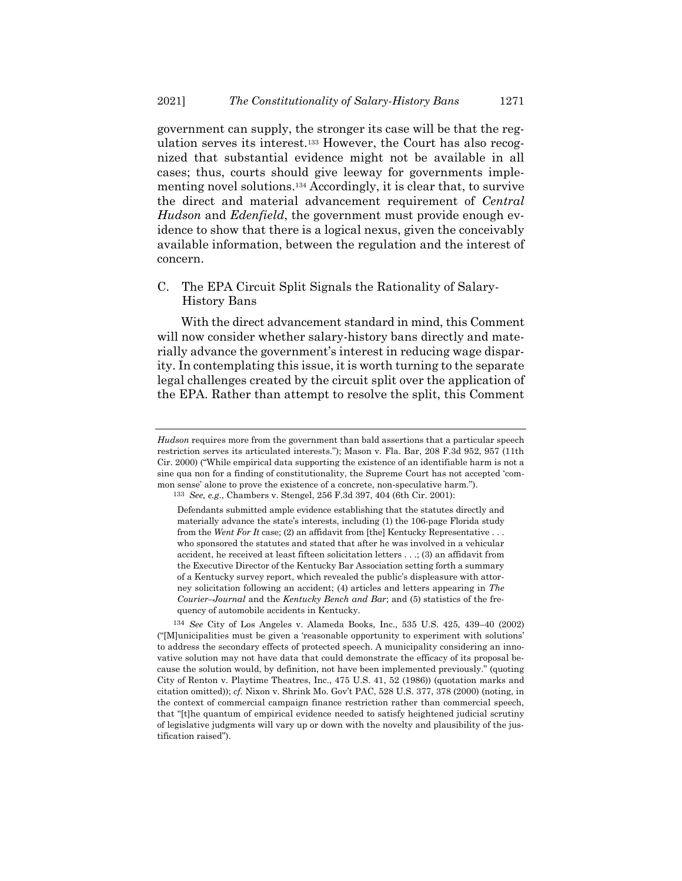<span id="page-24-0"></span>government can supply, the stronger its case will be that the regulation serves its interest.<sup>133</sup> However, the Court has also recognized that substantial evidence might not be available in all cases; thus, courts should give leeway for governments implementing novel solutions.<sup>134</sup> Accordingly, it is clear that, to survive the direct and material advancement requirement of *Central Hudson* and *Edenfield*, the government must provide enough evidence to show that there is a logical nexus, given the conceivably available information, between the regulation and the interest of concern.

C. The EPA Circuit Split Signals the Rationality of Salary-History Bans

With the direct advancement standard in mind, this Comment will now consider whether salary-history bans directly and materially advance the government's interest in reducing wage disparity. In contemplating this issue, it is worth turning to the separate legal challenges created by the circuit split over the application of the EPA. Rather than attempt to resolve the split, this Comment

*Hudson* requires more from the government than bald assertions that a particular speech restriction serves its articulated interests."); Mason v. Fla. Bar, 208 F.3d 952, 957 (11th Cir. 2000) ("While empirical data supporting the existence of an identifiable harm is not a sine qua non for a finding of constitutionality, the Supreme Court has not accepted 'common sense' alone to prove the existence of a concrete, non-speculative harm.").

<sup>133</sup> *See, e.g.*, Chambers v. Stengel, 256 F.3d 397, 404 (6th Cir. 2001):

Defendants submitted ample evidence establishing that the statutes directly and materially advance the state's interests, including (1) the 106-page Florida study from the *Went For It* case; (2) an affidavit from [the] Kentucky Representative . . . who sponsored the statutes and stated that after he was involved in a vehicular accident, he received at least fifteen solicitation letters . . .; (3) an affidavit from the Executive Director of the Kentucky Bar Association setting forth a summary of a Kentucky survey report, which revealed the public's displeasure with attorney solicitation following an accident; (4) articles and letters appearing in *The Courier–Journal* and the *Kentucky Bench and Bar*; and (5) statistics of the frequency of automobile accidents in Kentucky.

<sup>134</sup> *See* City of Los Angeles v. Alameda Books, Inc., 535 U.S. 425, 439–40 (2002) ("[M]unicipalities must be given a 'reasonable opportunity to experiment with solutions' to address the secondary effects of protected speech. A municipality considering an innovative solution may not have data that could demonstrate the efficacy of its proposal because the solution would, by definition, not have been implemented previously." (quoting City of Renton v. Playtime Theatres, Inc., 475 U.S. 41, 52 (1986)) (quotation marks and citation omitted)); *cf.* Nixon v. Shrink Mo. Gov't PAC, 528 U.S. 377, 378 (2000) (noting, in the context of commercial campaign finance restriction rather than commercial speech, that "[t]he quantum of empirical evidence needed to satisfy heightened judicial scrutiny of legislative judgments will vary up or down with the novelty and plausibility of the justification raised").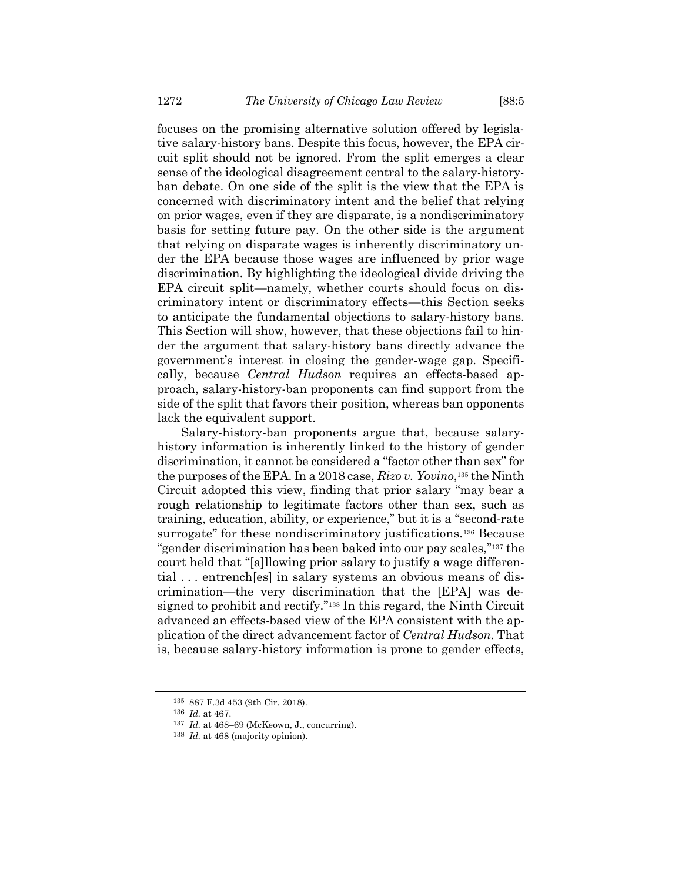focuses on the promising alternative solution offered by legislative salary-history bans. Despite this focus, however, the EPA circuit split should not be ignored. From the split emerges a clear sense of the ideological disagreement central to the salary-historyban debate. On one side of the split is the view that the EPA is concerned with discriminatory intent and the belief that relying on prior wages, even if they are disparate, is a nondiscriminatory basis for setting future pay. On the other side is the argument that relying on disparate wages is inherently discriminatory under the EPA because those wages are influenced by prior wage discrimination. By highlighting the ideological divide driving the EPA circuit split—namely, whether courts should focus on discriminatory intent or discriminatory effects—this Section seeks to anticipate the fundamental objections to salary-history bans. This Section will show, however, that these objections fail to hinder the argument that salary-history bans directly advance the government's interest in closing the gender-wage gap. Specifically, because *Central Hudson* requires an effects-based approach, salary-history-ban proponents can find support from the side of the split that favors their position, whereas ban opponents lack the equivalent support.

Salary-history-ban proponents argue that, because salaryhistory information is inherently linked to the history of gender discrimination, it cannot be considered a "factor other than sex" for the purposes of the EPA. In a 2018 case, *Rizo v. Yovino*, <sup>135</sup> the Ninth Circuit adopted this view, finding that prior salary "may bear a rough relationship to legitimate factors other than sex, such as training, education, ability, or experience," but it is a "second-rate surrogate" for these nondiscriminatory justifications.<sup>136</sup> Because "gender discrimination has been baked into our pay scales,"<sup>137</sup> the court held that "[a]llowing prior salary to justify a wage differential . . . entrench[es] in salary systems an obvious means of discrimination—the very discrimination that the [EPA] was designed to prohibit and rectify."<sup>138</sup> In this regard, the Ninth Circuit advanced an effects-based view of the EPA consistent with the application of the direct advancement factor of *Central Hudson*. That is, because salary-history information is prone to gender effects,

<sup>135</sup> 887 F.3d 453 (9th Cir. 2018).

<sup>136</sup> *Id.* at 467.

<sup>137</sup> *Id.* at 468–69 (McKeown, J., concurring).

<sup>138</sup> *Id.* at 468 (majority opinion).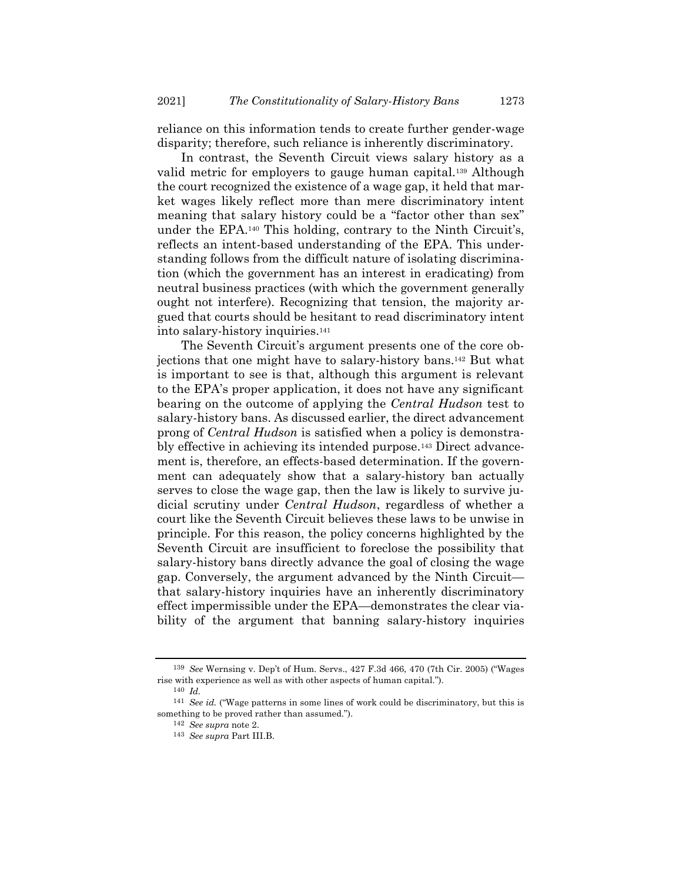reliance on this information tends to create further gender-wage disparity; therefore, such reliance is inherently discriminatory.

In contrast, the Seventh Circuit views salary history as a valid metric for employers to gauge human capital.<sup>139</sup> Although the court recognized the existence of a wage gap, it held that market wages likely reflect more than mere discriminatory intent meaning that salary history could be a "factor other than sex" under the EPA.<sup>140</sup> This holding, contrary to the Ninth Circuit's, reflects an intent-based understanding of the EPA. This understanding follows from the difficult nature of isolating discrimination (which the government has an interest in eradicating) from neutral business practices (with which the government generally ought not interfere). Recognizing that tension, the majority argued that courts should be hesitant to read discriminatory intent into salary-history inquiries.<sup>141</sup>

The Seventh Circuit's argument presents one of the core objections that one might have to salary-history bans.<sup>142</sup> But what is important to see is that, although this argument is relevant to the EPA's proper application, it does not have any significant bearing on the outcome of applying the *Central Hudson* test to salary-history bans. As discussed earlier, the direct advancement prong of *Central Hudson* is satisfied when a policy is demonstrably effective in achieving its intended purpose.<sup>143</sup> Direct advancement is, therefore, an effects-based determination. If the government can adequately show that a salary-history ban actually serves to close the wage gap, then the law is likely to survive judicial scrutiny under *Central Hudson*, regardless of whether a court like the Seventh Circuit believes these laws to be unwise in principle. For this reason, the policy concerns highlighted by the Seventh Circuit are insufficient to foreclose the possibility that salary-history bans directly advance the goal of closing the wage gap. Conversely, the argument advanced by the Ninth Circuit that salary-history inquiries have an inherently discriminatory effect impermissible under the EPA—demonstrates the clear viability of the argument that banning salary-history inquiries

<sup>139</sup> *See* Wernsing v. Dep't of Hum. Servs., 427 F.3d 466, 470 (7th Cir. 2005) ("Wages rise with experience as well as with other aspects of human capital.").

<sup>140</sup> *Id.*

<sup>141</sup> *See id.* ("Wage patterns in some lines of work could be discriminatory, but this is something to be proved rather than assumed.").

<sup>142</sup> *See supra* note [2.](#page-1-1)

<sup>143</sup> *See supra* Part III.B.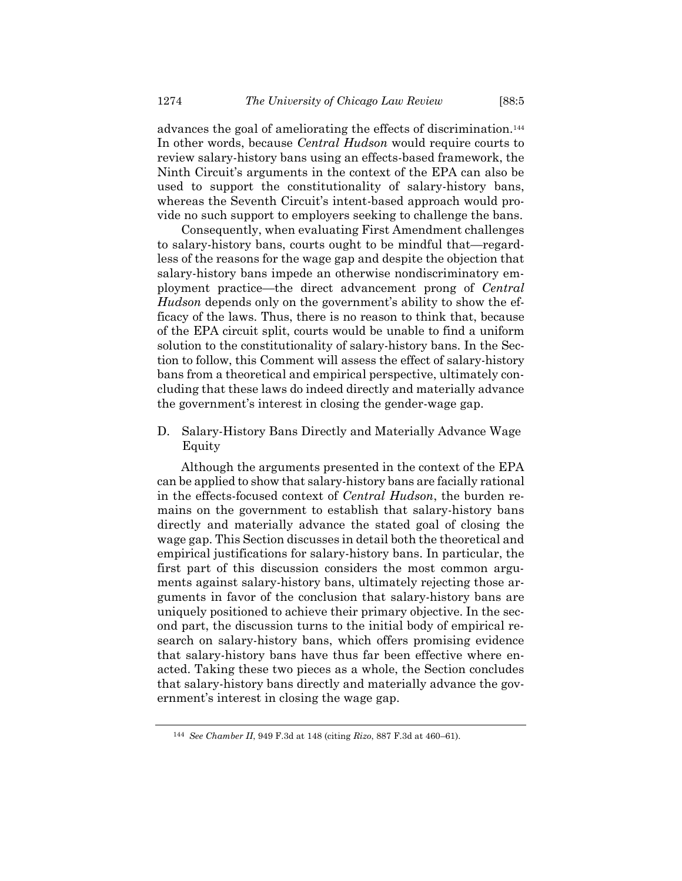advances the goal of ameliorating the effects of discrimination.<sup>144</sup> In other words, because *Central Hudson* would require courts to review salary-history bans using an effects-based framework, the Ninth Circuit's arguments in the context of the EPA can also be used to support the constitutionality of salary-history bans, whereas the Seventh Circuit's intent-based approach would provide no such support to employers seeking to challenge the bans.

Consequently, when evaluating First Amendment challenges to salary-history bans, courts ought to be mindful that—regardless of the reasons for the wage gap and despite the objection that salary-history bans impede an otherwise nondiscriminatory employment practice—the direct advancement prong of *Central Hudson* depends only on the government's ability to show the efficacy of the laws. Thus, there is no reason to think that, because of the EPA circuit split, courts would be unable to find a uniform solution to the constitutionality of salary-history bans. In the Section to follow, this Comment will assess the effect of salary-history bans from a theoretical and empirical perspective, ultimately concluding that these laws do indeed directly and materially advance the government's interest in closing the gender-wage gap.

D. Salary-History Bans Directly and Materially Advance Wage Equity

Although the arguments presented in the context of the EPA can be applied to show that salary-history bans are facially rational in the effects-focused context of *Central Hudson*, the burden remains on the government to establish that salary-history bans directly and materially advance the stated goal of closing the wage gap. This Section discusses in detail both the theoretical and empirical justifications for salary-history bans. In particular, the first part of this discussion considers the most common arguments against salary-history bans, ultimately rejecting those arguments in favor of the conclusion that salary-history bans are uniquely positioned to achieve their primary objective. In the second part, the discussion turns to the initial body of empirical research on salary-history bans, which offers promising evidence that salary-history bans have thus far been effective where enacted. Taking these two pieces as a whole, the Section concludes that salary-history bans directly and materially advance the government's interest in closing the wage gap.

<sup>144</sup> *See Chamber II*, 949 F.3d at 148 (citing *Rizo*, 887 F.3d at 460–61).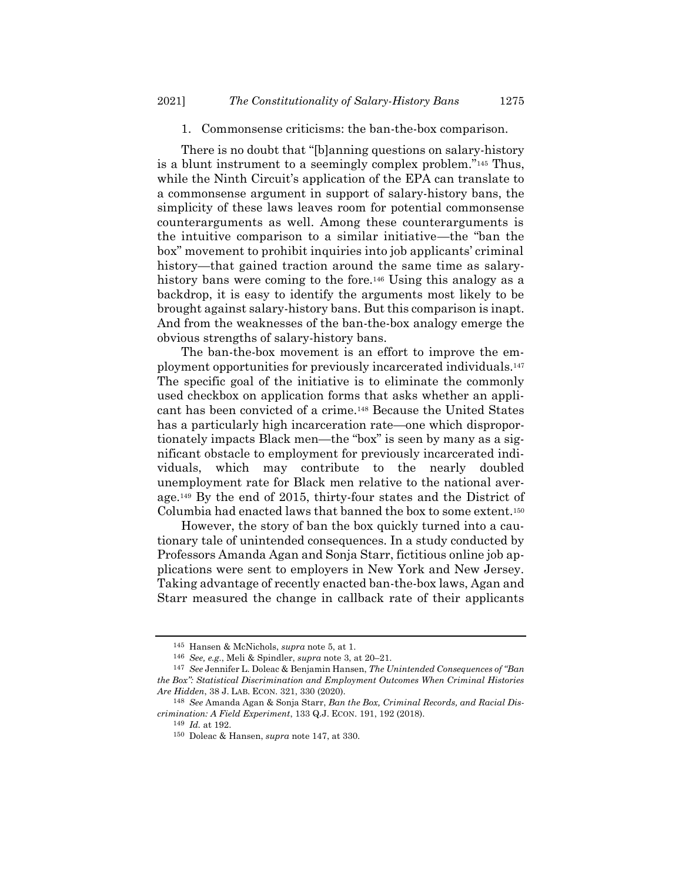# 1. Commonsense criticisms: the ban-the-box comparison.

There is no doubt that "[b]anning questions on salary-history is a blunt instrument to a seemingly complex problem."<sup>145</sup> Thus, while the Ninth Circuit's application of the EPA can translate to a commonsense argument in support of salary-history bans, the simplicity of these laws leaves room for potential commonsense counterarguments as well. Among these counterarguments is the intuitive comparison to a similar initiative—the "ban the box" movement to prohibit inquiries into job applicants' criminal history—that gained traction around the same time as salaryhistory bans were coming to the fore.<sup>146</sup> Using this analogy as a backdrop, it is easy to identify the arguments most likely to be brought against salary-history bans. But this comparison is inapt. And from the weaknesses of the ban-the-box analogy emerge the obvious strengths of salary-history bans.

<span id="page-28-1"></span><span id="page-28-0"></span>The ban-the-box movement is an effort to improve the employment opportunities for previously incarcerated individuals.<sup>147</sup> The specific goal of the initiative is to eliminate the commonly used checkbox on application forms that asks whether an applicant has been convicted of a crime.<sup>148</sup> Because the United States has a particularly high incarceration rate—one which disproportionately impacts Black men—the "box" is seen by many as a significant obstacle to employment for previously incarcerated individuals, which may contribute to the nearly doubled unemployment rate for Black men relative to the national average. <sup>149</sup> By the end of 2015, thirty-four states and the District of Columbia had enacted laws that banned the box to some extent.<sup>150</sup>

However, the story of ban the box quickly turned into a cautionary tale of unintended consequences. In a study conducted by Professors Amanda Agan and Sonja Starr, fictitious online job applications were sent to employers in New York and New Jersey. Taking advantage of recently enacted ban-the-box laws, Agan and Starr measured the change in callback rate of their applicants

<sup>145</sup> Hansen & McNichols, *supra* not[e 5,](#page-2-2) at 1.

<sup>146</sup> *See, e.g.*, Meli & Spindler, *supra* note [3,](#page-2-0) at 20–21.

<sup>147</sup> *See* Jennifer L. Doleac & Benjamin Hansen, *The Unintended Consequences of "Ban the Box": Statistical Discrimination and Employment Outcomes When Criminal Histories Are Hidden*, 38 J. LAB. ECON. 321, 330 (2020).

<sup>148</sup> *See* Amanda Agan & Sonja Starr, *Ban the Box, Criminal Records, and Racial Discrimination: A Field Experiment*, 133 Q.J. ECON. 191, 192 (2018).

<sup>149</sup> *Id.* at 192.

<sup>150</sup> Doleac & Hansen, *supra* not[e 147,](#page-28-0) at 330.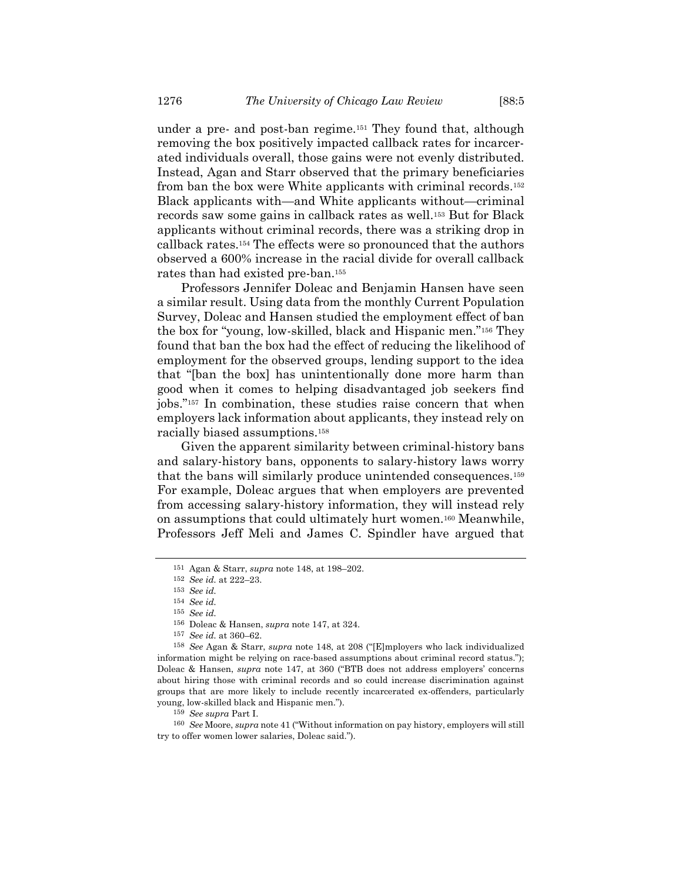under a pre- and post-ban regime.<sup>151</sup> They found that, although removing the box positively impacted callback rates for incarcerated individuals overall, those gains were not evenly distributed. Instead, Agan and Starr observed that the primary beneficiaries from ban the box were White applicants with criminal records.<sup>152</sup> Black applicants with—and White applicants without—criminal records saw some gains in callback rates as well.<sup>153</sup> But for Black applicants without criminal records, there was a striking drop in callback rates.<sup>154</sup> The effects were so pronounced that the authors observed a 600% increase in the racial divide for overall callback rates than had existed pre-ban.<sup>155</sup>

Professors Jennifer Doleac and Benjamin Hansen have seen a similar result. Using data from the monthly Current Population Survey, Doleac and Hansen studied the employment effect of ban the box for "young, low-skilled, black and Hispanic men."<sup>156</sup> They found that ban the box had the effect of reducing the likelihood of employment for the observed groups, lending support to the idea that "[ban the box] has unintentionally done more harm than good when it comes to helping disadvantaged job seekers find jobs."<sup>157</sup> In combination, these studies raise concern that when employers lack information about applicants, they instead rely on racially biased assumptions.<sup>158</sup>

Given the apparent similarity between criminal-history bans and salary-history bans, opponents to salary-history laws worry that the bans will similarly produce unintended consequences.<sup>159</sup> For example, Doleac argues that when employers are prevented from accessing salary-history information, they will instead rely on assumptions that could ultimately hurt women.<sup>160</sup> Meanwhile, Professors Jeff Meli and James C. Spindler have argued that

159 *See supra* Part I.

160 *See* Moore, *supra* not[e 41](#page-9-0) ("Without information on pay history, employers will still try to offer women lower salaries, Doleac said.").

<sup>151</sup> Agan & Starr, *supra* note [148,](#page-28-1) at 198–202.

<sup>152</sup> *See id.* at 222–23.

<sup>153</sup> *See id.*

<sup>154</sup> *See id.*

<sup>155</sup> *See id.*

<sup>156</sup> Doleac & Hansen, *supra* not[e 147,](#page-28-0) at 324.

<sup>157</sup> *See id.* at 360–62.

<sup>158</sup> *See* Agan & Starr, *supra* note [148](#page-28-1), at 208 ("[E]mployers who lack individualized information might be relying on race-based assumptions about criminal record status."); Doleac & Hansen, *supra* note [147,](#page-28-0) at 360 ("BTB does not address employers' concerns about hiring those with criminal records and so could increase discrimination against groups that are more likely to include recently incarcerated ex-offenders, particularly young, low-skilled black and Hispanic men.").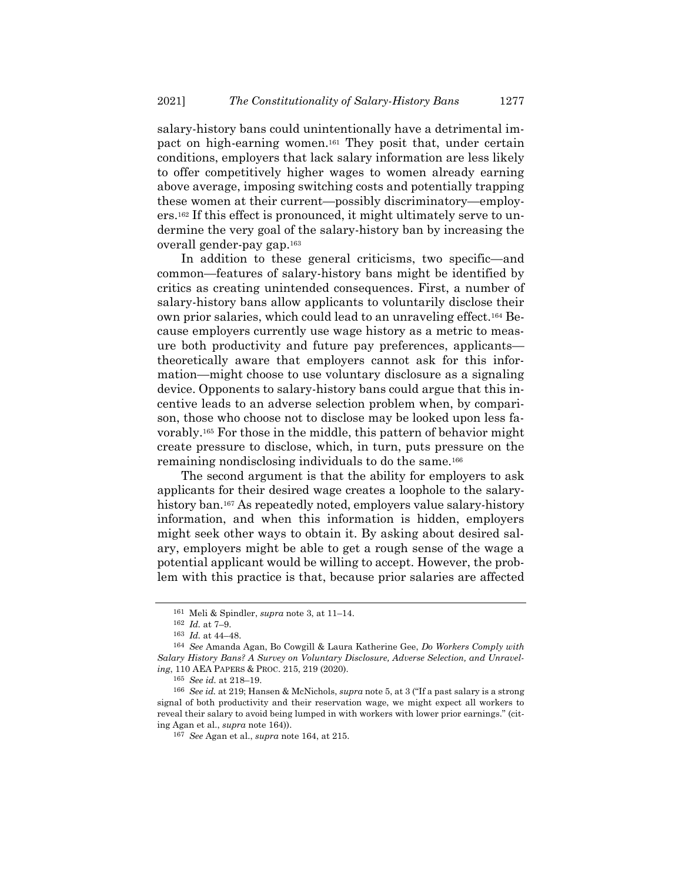salary-history bans could unintentionally have a detrimental impact on high-earning women.<sup>161</sup> They posit that, under certain conditions, employers that lack salary information are less likely to offer competitively higher wages to women already earning above average, imposing switching costs and potentially trapping these women at their current—possibly discriminatory—employers.<sup>162</sup> If this effect is pronounced, it might ultimately serve to undermine the very goal of the salary-history ban by increasing the overall gender-pay gap.<sup>163</sup>

<span id="page-30-0"></span>In addition to these general criticisms, two specific—and common—features of salary-history bans might be identified by critics as creating unintended consequences. First, a number of salary-history bans allow applicants to voluntarily disclose their own prior salaries, which could lead to an unraveling effect.<sup>164</sup> Because employers currently use wage history as a metric to measure both productivity and future pay preferences, applicants theoretically aware that employers cannot ask for this information—might choose to use voluntary disclosure as a signaling device. Opponents to salary-history bans could argue that this incentive leads to an adverse selection problem when, by comparison, those who choose not to disclose may be looked upon less favorably.<sup>165</sup> For those in the middle, this pattern of behavior might create pressure to disclose, which, in turn, puts pressure on the remaining nondisclosing individuals to do the same.<sup>166</sup>

The second argument is that the ability for employers to ask applicants for their desired wage creates a loophole to the salaryhistory ban.<sup>167</sup> As repeatedly noted, employers value salary-history information, and when this information is hidden, employers might seek other ways to obtain it. By asking about desired salary, employers might be able to get a rough sense of the wage a potential applicant would be willing to accept. However, the problem with this practice is that, because prior salaries are affected

<sup>161</sup> Meli & Spindler, *supra* note [3,](#page-2-0) at 11–14.

<sup>162</sup> *Id.* at 7–9.

<sup>163</sup> *Id.* at 44–48.

<sup>164</sup> *See* Amanda Agan, Bo Cowgill & Laura Katherine Gee, *Do Workers Comply with Salary History Bans? A Survey on Voluntary Disclosure, Adverse Selection, and Unraveling*, 110 AEA PAPERS & PROC. 215, 219 (2020).

<sup>165</sup> *See id.* at 218–19.

<sup>166</sup> *See id.* at 219; Hansen & McNichols, *supra* note [5,](#page-2-2) at 3 ("If a past salary is a strong signal of both productivity and their reservation wage, we might expect all workers to reveal their salary to avoid being lumped in with workers with lower prior earnings." (citing Agan et al., *supra* note [164\)](#page-30-0)).

<sup>167</sup> *See* Agan et al., *supra* note [164,](#page-30-0) at 215.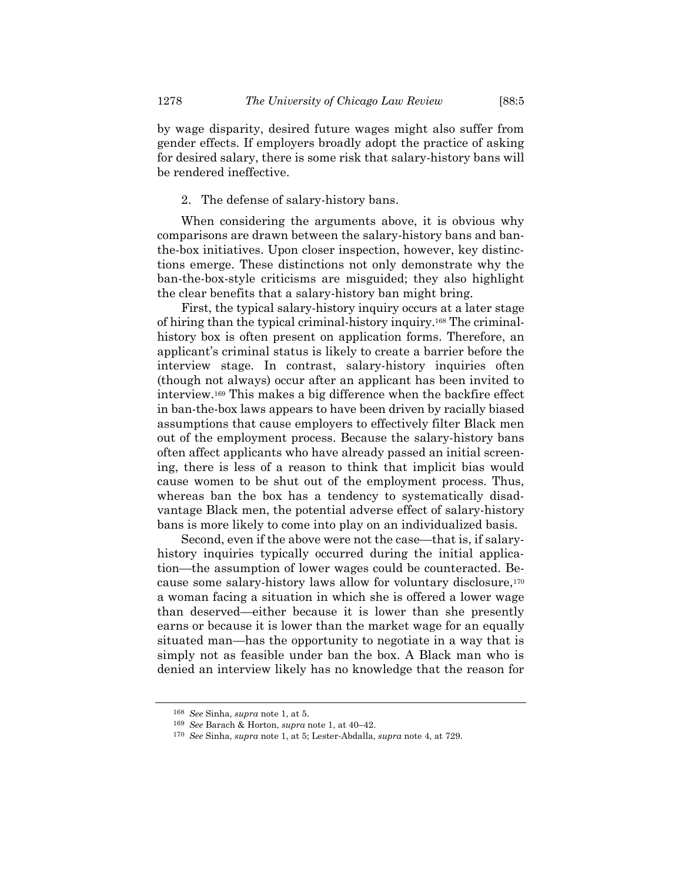by wage disparity, desired future wages might also suffer from gender effects. If employers broadly adopt the practice of asking for desired salary, there is some risk that salary-history bans will be rendered ineffective.

# 2. The defense of salary-history bans.

When considering the arguments above, it is obvious why comparisons are drawn between the salary-history bans and banthe-box initiatives. Upon closer inspection, however, key distinctions emerge. These distinctions not only demonstrate why the ban-the-box-style criticisms are misguided; they also highlight the clear benefits that a salary-history ban might bring.

First, the typical salary-history inquiry occurs at a later stage of hiring than the typical criminal-history inquiry. <sup>168</sup> The criminalhistory box is often present on application forms. Therefore, an applicant's criminal status is likely to create a barrier before the interview stage. In contrast, salary-history inquiries often (though not always) occur after an applicant has been invited to interview.<sup>169</sup> This makes a big difference when the backfire effect in ban-the-box laws appears to have been driven by racially biased assumptions that cause employers to effectively filter Black men out of the employment process. Because the salary-history bans often affect applicants who have already passed an initial screening, there is less of a reason to think that implicit bias would cause women to be shut out of the employment process. Thus, whereas ban the box has a tendency to systematically disadvantage Black men, the potential adverse effect of salary-history bans is more likely to come into play on an individualized basis.

Second, even if the above were not the case—that is, if salaryhistory inquiries typically occurred during the initial application—the assumption of lower wages could be counteracted. Because some salary-history laws allow for voluntary disclosure,<sup>170</sup> a woman facing a situation in which she is offered a lower wage than deserved—either because it is lower than she presently earns or because it is lower than the market wage for an equally situated man—has the opportunity to negotiate in a way that is simply not as feasible under ban the box. A Black man who is denied an interview likely has no knowledge that the reason for

<sup>168</sup> *See* Sinha, *supra* not[e 1,](#page-1-0) at 5.

<sup>169</sup> *See* Barach & Horton, *supra* not[e 1,](#page-1-0) at 40–42.

<sup>170</sup> *See* Sinha, *supra* not[e 1,](#page-1-0) at 5; Lester-Abdalla, *supra* note [4,](#page-2-1) at 729.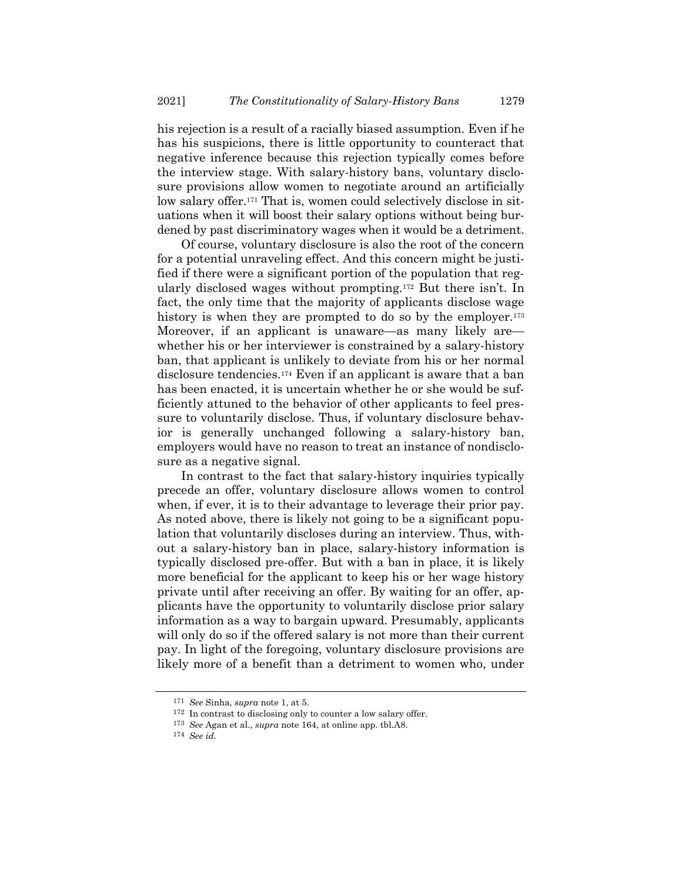his rejection is a result of a racially biased assumption. Even if he has his suspicions, there is little opportunity to counteract that negative inference because this rejection typically comes before the interview stage. With salary-history bans, voluntary disclosure provisions allow women to negotiate around an artificially low salary offer.<sup>171</sup> That is, women could selectively disclose in situations when it will boost their salary options without being burdened by past discriminatory wages when it would be a detriment.

Of course, voluntary disclosure is also the root of the concern for a potential unraveling effect. And this concern might be justified if there were a significant portion of the population that regularly disclosed wages without prompting.<sup>172</sup> But there isn't. In fact, the only time that the majority of applicants disclose wage history is when they are prompted to do so by the employer.<sup>173</sup> Moreover, if an applicant is unaware—as many likely are whether his or her interviewer is constrained by a salary-history ban, that applicant is unlikely to deviate from his or her normal disclosure tendencies.<sup>174</sup> Even if an applicant is aware that a ban has been enacted, it is uncertain whether he or she would be sufficiently attuned to the behavior of other applicants to feel pressure to voluntarily disclose. Thus, if voluntary disclosure behavior is generally unchanged following a salary-history ban, employers would have no reason to treat an instance of nondisclosure as a negative signal.

In contrast to the fact that salary-history inquiries typically precede an offer, voluntary disclosure allows women to control when, if ever, it is to their advantage to leverage their prior pay. As noted above, there is likely not going to be a significant population that voluntarily discloses during an interview. Thus, without a salary-history ban in place, salary-history information is typically disclosed pre-offer. But with a ban in place, it is likely more beneficial for the applicant to keep his or her wage history private until after receiving an offer. By waiting for an offer, applicants have the opportunity to voluntarily disclose prior salary information as a way to bargain upward. Presumably, applicants will only do so if the offered salary is not more than their current pay. In light of the foregoing, voluntary disclosure provisions are likely more of a benefit than a detriment to women who, under

<sup>171</sup> *See* Sinha, *supra* not[e 1,](#page-1-0) at 5.

<sup>172</sup> In contrast to disclosing only to counter a low salary offer.

<sup>173</sup> *See* Agan et al., *supra* note [164,](#page-30-0) at online app. tbl.A8.

<sup>174</sup> *See id.*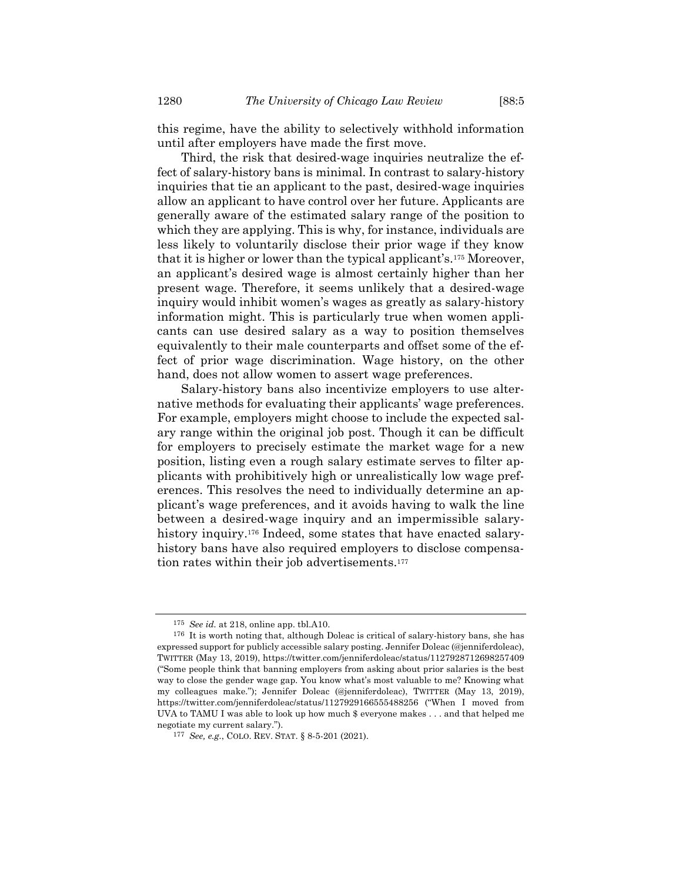this regime, have the ability to selectively withhold information until after employers have made the first move.

Third, the risk that desired-wage inquiries neutralize the effect of salary-history bans is minimal. In contrast to salary-history inquiries that tie an applicant to the past, desired-wage inquiries allow an applicant to have control over her future. Applicants are generally aware of the estimated salary range of the position to which they are applying. This is why, for instance, individuals are less likely to voluntarily disclose their prior wage if they know that it is higher or lower than the typical applicant's.<sup>175</sup> Moreover, an applicant's desired wage is almost certainly higher than her present wage. Therefore, it seems unlikely that a desired-wage inquiry would inhibit women's wages as greatly as salary-history information might. This is particularly true when women applicants can use desired salary as a way to position themselves equivalently to their male counterparts and offset some of the effect of prior wage discrimination. Wage history, on the other hand, does not allow women to assert wage preferences.

Salary-history bans also incentivize employers to use alternative methods for evaluating their applicants' wage preferences. For example, employers might choose to include the expected salary range within the original job post. Though it can be difficult for employers to precisely estimate the market wage for a new position, listing even a rough salary estimate serves to filter applicants with prohibitively high or unrealistically low wage preferences. This resolves the need to individually determine an applicant's wage preferences, and it avoids having to walk the line between a desired-wage inquiry and an impermissible salaryhistory inquiry. <sup>176</sup> Indeed, some states that have enacted salaryhistory bans have also required employers to disclose compensation rates within their job advertisements.<sup>177</sup>

<sup>175</sup> *See id.* at 218, online app. tbl.A10.

<sup>176</sup> It is worth noting that, although Doleac is critical of salary-history bans, she has expressed support for publicly accessible salary posting. Jennifer Doleac (@jenniferdoleac), TWITTER (May 13, 2019), https://twitter.com/jenniferdoleac/status/1127928712698257409 ("Some people think that banning employers from asking about prior salaries is the best way to close the gender wage gap. You know what's most valuable to me? Knowing what my colleagues make."); Jennifer Doleac (@jenniferdoleac), TWITTER (May 13, 2019), https://twitter.com/jenniferdoleac/status/1127929166555488256 ("When I moved from UVA to TAMU I was able to look up how much \$ everyone makes . . . and that helped me negotiate my current salary.").

<sup>177</sup> *See, e.g.*, COLO. REV. STAT. § 8-5-201 (2021).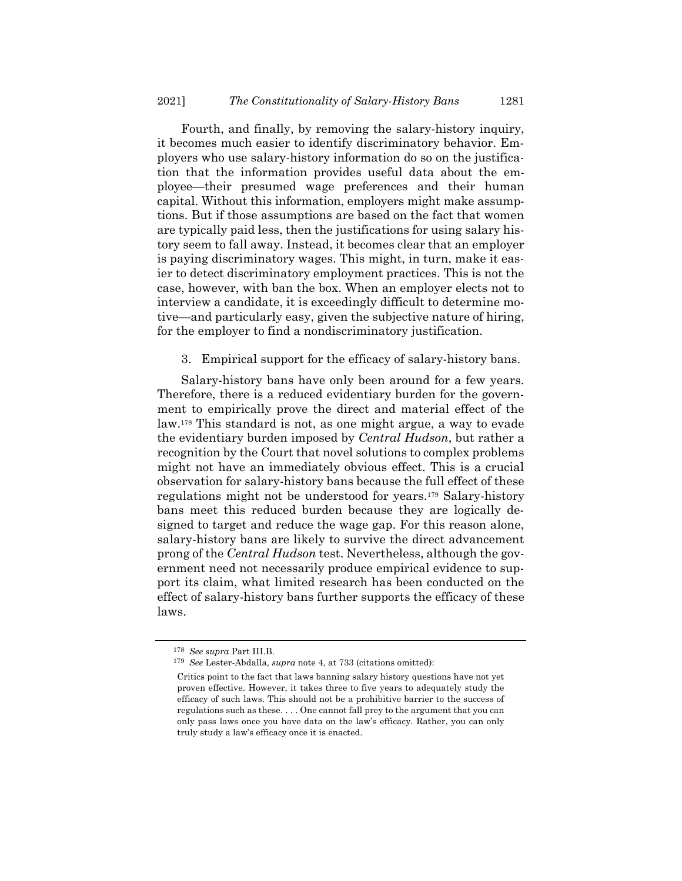Fourth, and finally, by removing the salary-history inquiry, it becomes much easier to identify discriminatory behavior. Employers who use salary-history information do so on the justification that the information provides useful data about the employee—their presumed wage preferences and their human capital. Without this information, employers might make assumptions. But if those assumptions are based on the fact that women are typically paid less, then the justifications for using salary history seem to fall away. Instead, it becomes clear that an employer is paying discriminatory wages. This might, in turn, make it easier to detect discriminatory employment practices. This is not the case, however, with ban the box. When an employer elects not to interview a candidate, it is exceedingly difficult to determine motive—and particularly easy, given the subjective nature of hiring, for the employer to find a nondiscriminatory justification.

3. Empirical support for the efficacy of salary-history bans.

Salary-history bans have only been around for a few years. Therefore, there is a reduced evidentiary burden for the government to empirically prove the direct and material effect of the law.<sup>178</sup> This standard is not, as one might argue, a way to evade the evidentiary burden imposed by *Central Hudson*, but rather a recognition by the Court that novel solutions to complex problems might not have an immediately obvious effect. This is a crucial observation for salary-history bans because the full effect of these regulations might not be understood for years.<sup>179</sup> Salary-history bans meet this reduced burden because they are logically designed to target and reduce the wage gap. For this reason alone, salary-history bans are likely to survive the direct advancement prong of the *Central Hudson* test. Nevertheless, although the government need not necessarily produce empirical evidence to support its claim, what limited research has been conducted on the effect of salary-history bans further supports the efficacy of these laws.

<sup>178</sup> *See supra* Part III.B.

<sup>179</sup> *See* Lester-Abdalla, *supra* note [4,](#page-2-1) at 733 (citations omitted):

Critics point to the fact that laws banning salary history questions have not yet proven effective. However, it takes three to five years to adequately study the efficacy of such laws. This should not be a prohibitive barrier to the success of regulations such as these. . . . One cannot fall prey to the argument that you can only pass laws once you have data on the law's efficacy. Rather, you can only truly study a law's efficacy once it is enacted.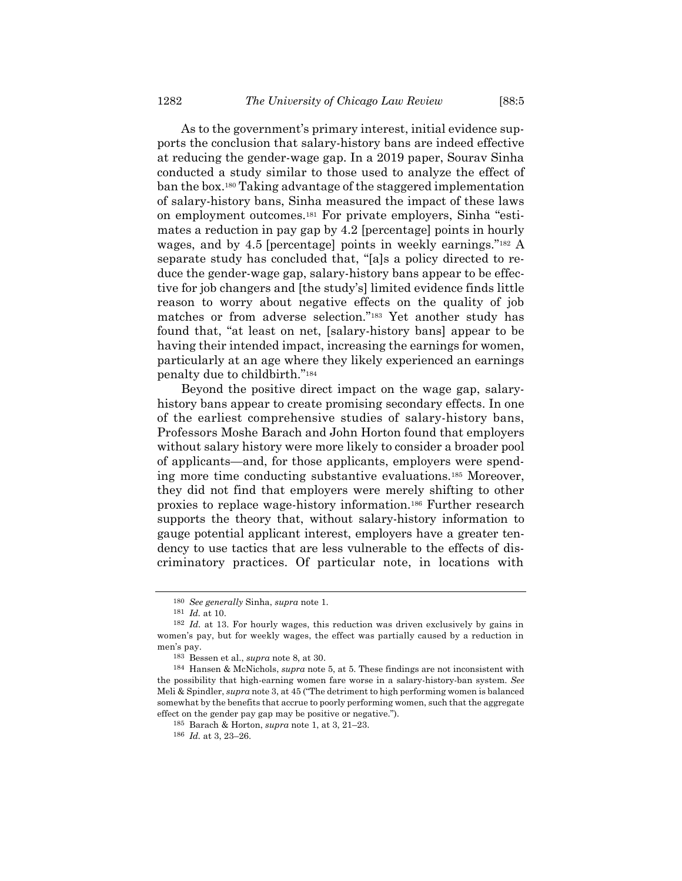As to the government's primary interest, initial evidence supports the conclusion that salary-history bans are indeed effective at reducing the gender-wage gap. In a 2019 paper, Sourav Sinha conducted a study similar to those used to analyze the effect of ban the box.<sup>180</sup> Taking advantage of the staggered implementation of salary-history bans, Sinha measured the impact of these laws on employment outcomes.<sup>181</sup> For private employers, Sinha "estimates a reduction in pay gap by 4.2 [percentage] points in hourly wages, and by 4.5 [percentage] points in weekly earnings."<sup>182</sup> A separate study has concluded that, "[a]s a policy directed to reduce the gender-wage gap, salary-history bans appear to be effective for job changers and [the study's] limited evidence finds little reason to worry about negative effects on the quality of job matches or from adverse selection."<sup>183</sup> Yet another study has found that, "at least on net, [salary-history bans] appear to be having their intended impact, increasing the earnings for women, particularly at an age where they likely experienced an earnings penalty due to childbirth."<sup>184</sup>

Beyond the positive direct impact on the wage gap, salaryhistory bans appear to create promising secondary effects. In one of the earliest comprehensive studies of salary-history bans, Professors Moshe Barach and John Horton found that employers without salary history were more likely to consider a broader pool of applicants—and, for those applicants, employers were spending more time conducting substantive evaluations.<sup>185</sup> Moreover, they did not find that employers were merely shifting to other proxies to replace wage-history information.<sup>186</sup> Further research supports the theory that, without salary-history information to gauge potential applicant interest, employers have a greater tendency to use tactics that are less vulnerable to the effects of discriminatory practices. Of particular note, in locations with

<sup>180</sup> *See generally* Sinha, *supra* not[e 1.](#page-1-0)

<sup>181</sup> *Id.* at 10.

<sup>182</sup> *Id.* at 13. For hourly wages, this reduction was driven exclusively by gains in women's pay, but for weekly wages, the effect was partially caused by a reduction in men's pay.

<sup>183</sup> Bessen et al., *supra* note [8,](#page-2-3) at 30.

<sup>184</sup> Hansen & McNichols, *supra* not[e 5,](#page-2-2) at 5. These findings are not inconsistent with the possibility that high-earning women fare worse in a salary-history-ban system. *See* Meli & Spindler, *supra* not[e 3,](#page-2-0) at 45 ("The detriment to high performing women is balanced somewhat by the benefits that accrue to poorly performing women, such that the aggregate effect on the gender pay gap may be positive or negative.").

<sup>185</sup> Barach & Horton, *supra* note [1,](#page-1-0) at 3, 21–23.

<sup>186</sup> *Id.* at 3, 23–26.